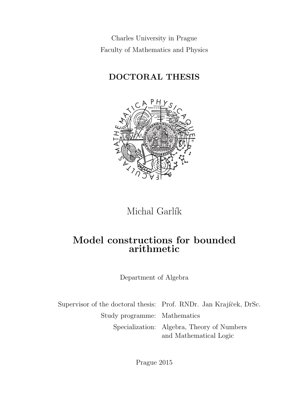Charles University in Prague Faculty of Mathematics and Physics

DOCTORAL THESIS



## Michal Garlík

## Model constructions for bounded arithmetic

Department of Algebra

Supervisor of the doctoral thesis: Prof. RNDr. Jan Krajíček, DrSc. Study programme: Mathematics Specialization: Algebra, Theory of Numbers and Mathematical Logic

Prague 2015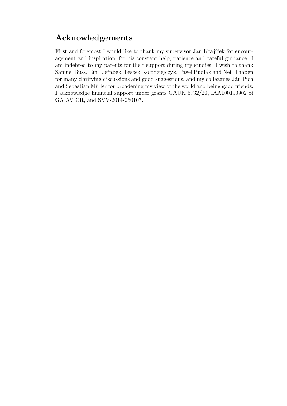## Acknowledgements

First and foremost I would like to thank my supervisor Jan Krajíček for encouragement and inspiration, for his constant help, patience and careful guidance. I am indebted to my parents for their support during my studies. I wish to thank Samuel Buss, Emil Jeřábek, Leszek Kołodziejczyk, Pavel Pudlák and Neil Thapen for many clarifying discussions and good suggestions, and my colleagues Ján Pich and Sebastian Müller for broadening my view of the world and being good friends. I acknowledge financial support under grants GAUK 5732/20, IAA100190902 of GA AV ČR, and SVV-2014-260107.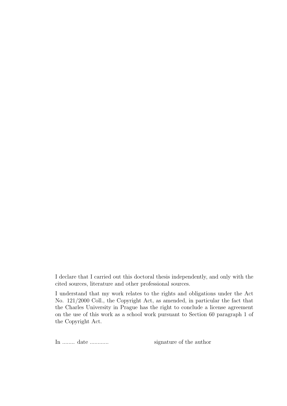I declare that I carried out this doctoral thesis independently, and only with the cited sources, literature and other professional sources.

I understand that my work relates to the rights and obligations under the Act No. 121/2000 Coll., the Copyright Act, as amended, in particular the fact that the Charles University in Prague has the right to conclude a license agreement on the use of this work as a school work pursuant to Section 60 paragraph 1 of the Copyright Act.

In ........ date ............ signature of the author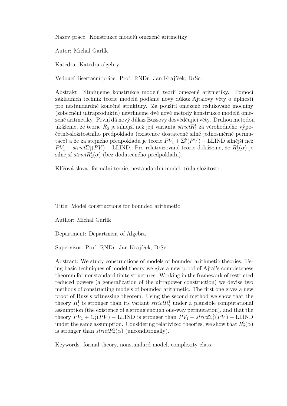Název práce: Konstrukce modelů omezené aritmetiky

Autor: Michal Garlík

Katedra: Katedra algebry

Vedoucí disertační práce: Prof. RNDr. Jan Krajíček, DrSc.

Abstrakt: Studujeme konstrukce modelů teorií omezené aritmetiky. Pomocí základních technik teorie modelů podáme nový důkaz Ajtaiovy věty o úplnosti pro nestandardně konečné struktury. Za použití omezené redukované mocniny (zobecnění ultraproduktu) navrhneme dvě nové metody konstrukce modelů omezené aritmetiky. První dá nový důkaz Bussovy dosvědčující věty. Druhou metodou ukážeme, že teorie $R^1_2$ je silnější než její varianta  $\mathit{strictR}^1_2$ za věrohodného výpočetně-složitostního předpokladu (existence dostatečně silné jednosměrné permutace) a že za stejného předpokladu je teorie  $PV_1 + \Sigma_1^b(PV) - \text{LLIND}$  silnější než  $PV_1 + strict \Sigma_1^b(PV) - LLIND$ . Pro relativizované teorie dokážeme, že  $R_2^1(\alpha)$  je silnější  $strictR_2^1(\alpha)$  (bez dodatečného předpokladu).

Klíčová slova: formální teorie, nestandardní model, třída složitosti

Title: Model constructions for bounded arithmetic

Author: Michal Garlík

Department: Department of Algebra

Supervisor: Prof. RNDr. Jan Krajíček, DrSc.

Abstract: We study constructions of models of bounded arithmetic theories. Using basic techniques of model theory we give a new proof of Ajtai's completeness theorem for nonstandard finite structures. Working in the framework of restricted reduced powers (a generalization of the ultrapower construction) we devise two methods of constructing models of bounded arithmetic. The first one gives a new proof of Buss's witnessing theorem. Using the second method we show that the theory  $R_2^1$  is stronger than its variant  $strictR_2^1$  under a plausible computational assumption (the existence of a strong enough one-way permutation), and that the theory  $PV_1 + \Sigma_1^b(PV)$  – LLIND is stronger than  $PV_1 + strict\Sigma_1^b(PV)$  – LLIND under the same assumption. Considering relativized theories, we show that  $R_2^1(\alpha)$ is stronger than  $strictR_2^1(\alpha)$  (unconditionally).

Keywords: formal theory, nonstandard model, complexity class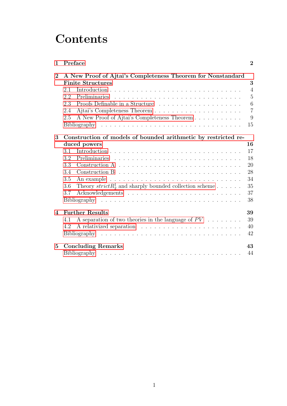# **Contents**

| $\mathbf{1}$           | Preface                                                                 | $\overline{2}$                                                                         |
|------------------------|-------------------------------------------------------------------------|----------------------------------------------------------------------------------------|
| $\overline{2}$         | A New Proof of Ajtai's Completeness Theorem for Nonstandard             |                                                                                        |
|                        | <b>Finite Structures</b>                                                | 3                                                                                      |
|                        | 2.1                                                                     | $\overline{4}$                                                                         |
|                        | 2.2                                                                     | $\overline{5}$                                                                         |
|                        | 2.3                                                                     | 6                                                                                      |
|                        | 2.4                                                                     | $\overline{7}$                                                                         |
|                        | A New Proof of Ajtai's Completeness Theorem<br>2.5                      | 9                                                                                      |
|                        |                                                                         | 15<br>16<br>17<br>18<br>20<br>28<br>34<br>35<br>37<br>38<br>39<br>39<br>40<br>42<br>43 |
| 3                      | Construction of models of bounded arithmetic by restricted re-          |                                                                                        |
|                        | duced powers                                                            |                                                                                        |
|                        | 3.1                                                                     |                                                                                        |
|                        | 3.2                                                                     |                                                                                        |
|                        | 3.3                                                                     |                                                                                        |
|                        | 3.4                                                                     |                                                                                        |
|                        | 3.5                                                                     |                                                                                        |
|                        | Theory $strictR_2^1$ and sharply bounded collection scheme<br>3.6       |                                                                                        |
|                        | 3.7                                                                     |                                                                                        |
|                        |                                                                         |                                                                                        |
| $\boldsymbol{\Lambda}$ | <b>Further Results</b>                                                  |                                                                                        |
|                        | A separation of two theories in the language of $PV \dots \dots$<br>4.1 |                                                                                        |
|                        | 4.2                                                                     |                                                                                        |
|                        |                                                                         |                                                                                        |
| $\bf{5}$               | <b>Concluding Remarks</b>                                               |                                                                                        |
|                        |                                                                         | 44                                                                                     |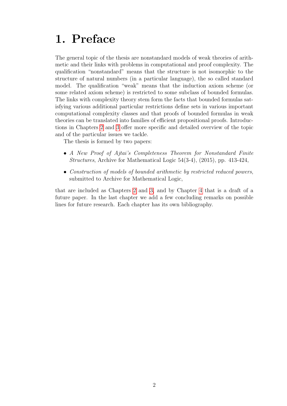# <span id="page-5-0"></span>1. Preface

The general topic of the thesis are nonstandard models of weak theories of arithmetic and their links with problems in computational and proof complexity. The qualification "nonstandard" means that the structure is not isomorphic to the structure of natural numbers (in a particular language), the so called standard model. The qualification "weak" means that the induction axiom scheme (or some related axiom scheme) is restricted to some subclass of bounded formulas. The links with complexity theory stem form the facts that bounded formulas satisfying various additional particular restrictions define sets in various important computational complexity classes and that proofs of bounded formulas in weak theories can be translated into families of efficient propositional proofs. Introductions in Chapters [2](#page-6-0) and [3](#page-19-0) offer more specific and detailed overview of the topic and of the particular issues we tackle.

The thesis is formed by two papers:

- A New Proof of Ajtai's Completeness Theorem for Nonstandard Finite Structures, Archive for Mathematical Logic 54(3-4), (2015), pp. 413-424,
- Construction of models of bounded arithmetic by restricted reduced powers, submitted to Archive for Mathematical Logic,

that are included as Chapters [2](#page-6-0) and [3,](#page-19-0) and by Chapter [4](#page-42-0) that is a draft of a future paper. In the last chapter we add a few concluding remarks on possible lines for future research. Each chapter has its own bibliography.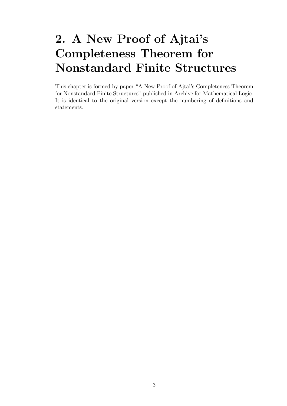# <span id="page-6-0"></span>2. A New Proof of Ajtai's Completeness Theorem for Nonstandard Finite Structures

This chapter is formed by paper "A New Proof of Ajtai's Completeness Theorem for Nonstandard Finite Structures" published in Archive for Mathematical Logic. It is identical to the original version except the numbering of definitions and statements.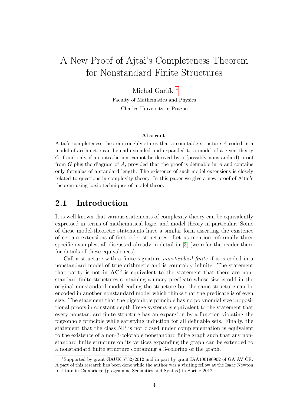## A New Proof of Ajtai's Completeness Theorem for Nonstandard Finite Structures

Michal Garlík<sup>\*</sup>

Faculty of Mathematics and Physics Charles University in Prague

#### Abstract

Ajtai's completeness theorem roughly states that a countable structure A coded in a model of arithmetic can be end-extended and expanded to a model of a given theory G if and only if a contradiction cannot be derived by a (possibly nonstandard) proof from  $G$  plus the diagram of  $A$ , provided that the proof is definable in  $A$  and contains only formulas of a standard length. The existence of such model extensions is closely related to questions in complexity theory. In this paper we give a new proof of Ajtai's theorem using basic techniques of model theory.

## <span id="page-7-0"></span>2.1 Introduction

It is well known that various statements of complexity theory can be equivalently expressed in terms of mathematical logic, and model theory in particular. Some of these model-theoretic statements have a similar form asserting the existence of certain extensions of first-order structures. Let us mention informally three specific examples, all discussed already in detail in [\[3\]](#page-18-1) (we refer the reader there for details of these equivalences).

Call a structure with a finite signature nonstandard finite if it is coded in a nonstandard model of true arithmetic and is countably infinite. The statement that parity is not in  $AC^0$  is equivalent to the statement that there are nonstandard finite structures containing a unary predicate whose size is odd in the original nonstandard model coding the structure but the same structure can be encoded in another nonstandard model which thinks that the predicate is of even size. The statement that the pigeonhole principle has no polynomial size propositional proofs in constant depth Frege systems is equivalent to the statement that every nonstandard finite structure has an expansion by a function violating the pigeonhole principle while satisfying induction for all definable sets. Finally, the statement that the class NP is not closed under complementation is equivalent to the existence of a non-3-colorable nonstandard finite graph such that any nonstandard finite structure on its vertices expanding the graph can be extended to a nonstandard finite structure containing a 3-coloring of the graph.

<span id="page-7-1"></span><sup>\*</sup>Supported by grant GAUK  $5732/2012$  and in part by grant IAA100190902 of GA AV ČR. A part of this research has been done while the author was a visiting fellow at the Isaac Newton Institute in Cambridge (programme Semantics and Syntax) in Spring 2012.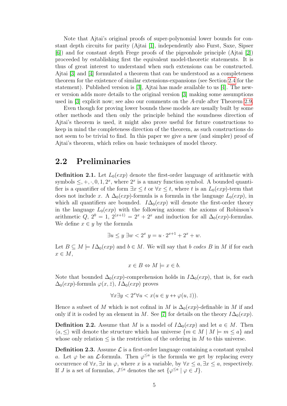Note that Ajtai's original proofs of super-polynomial lower bounds for constant depth circuits for parity (Ajtai [\[1\]](#page-18-2), independently also Furst, Saxe, Sipser [\[6\]](#page-18-3)) and for constant depth Frege proofs of the pigeonhole principle (Ajtai [\[2\]](#page-18-4)) proceeded by establishing first the equivalent model-theoretic statements. It is thus of great interest to understand when such extensions can be constructed. Ajtai [\[3\]](#page-18-1) and [\[4\]](#page-18-5) formulated a theorem that can be understood as a completeness theorem for the existence of similar extensions-expansions (see Section [2.4](#page-10-0) for the statement). Published version is [\[3\]](#page-18-1), Ajtai has made available to us [\[4\]](#page-18-5). The newer version adds more details to the original version [\[3\]](#page-18-1) making some assumptions used in [\[3\]](#page-18-1) explicit now; see also our comments on the A-rule after Theorem [2.9.](#page-11-0)

Even though for proving lower bounds these models are usually built by some other methods and then only the principle behind the soundness direction of Ajtai's theorem is used, it might also prove useful for future constructions to keep in mind the completeness direction of the theorem, as such constructions do not seem to be trivial to find. In this paper we give a new (and simpler) proof of Ajtai's theorem, which relies on basic techniques of model theory.

### <span id="page-8-0"></span>2.2 Preliminaries

**Definition 2.1.** Let  $L_0(exp)$  denote the first-order language of arithmetic with symbols  $\leq, +, \cdot, 0, 1, 2^x$ , where  $2^x$  is a unary function symbol. A bounded quantifier is a quantifier of the form  $\exists x \leq t$  or  $\forall x \leq t$ , where t is an  $L_0(exp)$ -term that does not include x. A  $\Delta_0(exp)$ -formula is a formula in the language  $L_0(exp)$ , in which all quantifiers are bounded.  $I\Delta_0(exp)$  will denote the first-order theory in the language  $L_0(exp)$  with the following axioms: the axioms of Robinson's arithmetic Q,  $2^0 = 1$ ,  $2^{(x+1)} = 2^x + 2^x$  and induction for all  $\Delta_0(exp)$ -formulas. We define  $x \in y$  by the formula

$$
\exists u \le y \ \exists w < 2^x \ y = u \cdot 2^{x+1} + 2^x + w.
$$

Let  $B \subseteq M \models I\Delta_0(exp)$  and  $b \in M$ . We will say that b codes B in M if for each  $x \in M$ ,

$$
x \in B \Leftrightarrow M \models x \in b.
$$

Note that bounded  $\Delta_0(exp)$ -comprehension holds in  $I\Delta_0(exp)$ , that is, for each  $\Delta_0(exp)$ -formula  $\varphi(x,\bar{z}), I\Delta_0(exp)$  proves

$$
\forall x \exists y < 2^x \forall u < x (u \in y \leftrightarrow \varphi(u, \bar{z})).
$$

Hence a subset of M which is not cofinal in M is  $\Delta_0(exp)$ -definable in M if and only if it is coded by an element in M. See [\[7\]](#page-18-6) for details on the theory  $I\Delta_0(exp)$ .

**Definition 2.2.** Assume that M is a model of  $I\Delta_0(exp)$  and let  $a \in M$ . Then  $\langle a, \leq \rangle$  will denote the structure which has universe  $\{m \in M \mid M \models m \leq a\}$  and whose only relation  $\leq$  is the restriction of the ordering in M to this universe.

**Definition 2.3.** Assume  $\mathcal{L}$  is a first-order language containing a constant symbol a. Let  $\varphi$  be an *L*-formula. Then  $\varphi^{\leq a}$  is the formula we get by replacing every occurrence of  $\forall x, \exists x \text{ in } \varphi$ , where x is a variable, by  $\forall x \leq a, \exists x \leq a$ , respectively. If J is a set of formulas,  $J^{\leq a}$  denotes the set  $\{\varphi^{\leq a} \mid \varphi \in J\}.$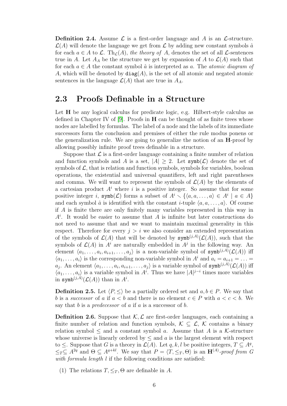**Definition 2.4.** Assume  $\mathcal{L}$  is a first-order language and A is an  $\mathcal{L}$ -structure.  $\mathcal{L}(A)$  will denote the language we get from  $\mathcal L$  by adding new constant symbols  $\hat a$ for each  $a \in A$  to  $\mathcal{L}$ . Th $_{\mathcal{L}}(A)$ , the theory of A, denotes the set of all  $\mathcal{L}$ -sentences true in A. Let  $A_A$  be the structure we get by expansion of A to  $\mathcal{L}(A)$  such that for each  $a \in A$  the constant symbol  $\hat{a}$  is interpreted as a. The atomic diagram of A, which will be denoted by  $diag(A)$ , is the set of all atomic and negated atomic sentences in the language  $\mathcal{L}(A)$  that are true in  $A_A$ .

### <span id="page-9-0"></span>2.3 Proofs Definable in a Structure

Let **H** be any logical calculus for predicate logic, e.g. Hilbert-style calculus as defined in Chapter IV of  $[9]$ . Proofs in **H** can be thought of as finite trees whose nodes are labelled by formulas. The label of a node and the labels of its immediate successors form the conclusion and premises of either the rule modus ponens or the generalization rule. We are going to generalize the notion of an H-proof by allowing possibly infinite proof trees definable in a structure.

Suppose that  $\mathcal L$  is a first-order language containing a finite number of relation and function symbols and A is a set,  $|A| > 2$ . Let  $\text{symb}(\mathcal{L})$  denote the set of symbols of  $\mathcal{L}$ , that is relation and function symbols, symbols for variables, boolean operations, the existential and universal quantifiers, left and right parentheses and comma. We will want to represent the symbols of  $\mathcal{L}(A)$  by the elements of a cartesian product  $A^i$  where i is a positive integer. So assume that for some positive integer *i*, symb( $\mathcal{L}$ ) forms a subset of  $A^i \setminus {\{a, a, ..., a\}} \in A^i \mid a \in A$ and each symbol  $\hat{a}$  is identified with the constant *i*-tuple  $\langle a, a, \ldots, a \rangle$ . Of course if A is finite there are only finitely many variables represented in this way in  $A^i$ . It would be easier to assume that A is infinite but later constructions do not need to assume that and we want to maintain maximal generality in this respect. Therefore for every  $j > i$  we also consider an extended representation of the symbols of  $\mathcal{L}(A)$  that will be denoted by  $\text{symb}^{(j,A)}(\mathcal{L}(A))$ , such that the symbols of  $\mathcal{L}(A)$  in  $A^i$  are naturally embedded in  $A^j$  in the following way. An element  $\langle a_1, \ldots, a_i, a_{i+1}, \ldots, a_j \rangle$  is a non-variable symbol of symb $^{(j,A)}(\mathcal{L}(A))$  iff  $\langle a_1, \ldots, a_i \rangle$  is the corresponding non-variable symbol in  $A^i$  and  $a_i = a_{i+1} = \ldots =$  $a_j$ . An element  $\langle a_1, \ldots, a_i, a_{i+1}, \ldots, a_j \rangle$  is a variable symbol of symb $^{(j,A)}(\mathcal{L}(A))$  iff  $\langle a_1, \ldots, a_i \rangle$  is a variable symbol in  $A^i$ . Thus we have  $|A|^{j-i}$  times more variables in  $\mathsf{symb}^{(j,A)}(\mathcal{L}(A))$  than in  $A^i.$ 

**Definition 2.5.** Let  $\langle P, \leq \rangle$  be a partially ordered set and  $a, b \in P$ . We say that b is a successor of a if  $a < b$  and there is no element  $c \in P$  with  $a < c < b$ . We say that  $b$  is a *predecessor* of  $a$  if  $a$  is a successor of  $b$ .

**Definition 2.6.** Suppose that  $K, \mathcal{L}$  are first-order languages, each containing a finite number of relation and function symbols,  $\mathcal{K} \subseteq \mathcal{L}$ ,  $\mathcal{K}$  contains a binary relation symbol  $\leq$  and a constant symbol a. Assume that A is a K-structure whose universe is linearly ordered by  $\leq$  and a is the largest element with respect to  $\leq$ . Suppose that G is a theory in  $\mathcal{L}(A)$ . Let  $q, k, l$  be positive integers,  $T \subseteq A^q$ ,  $\leq_T \subseteq A^{2q}$  and  $\Theta \subseteq A^{q+kl}$ . We say that  $P = \langle T, \leq_T, \Theta \rangle$  is an  $\mathbf{H}^{(A)}$ -proof from G with formula length l if the following conditions are satisfied:

(1) The relations  $T, \leq_T, \Theta$  are definable in A.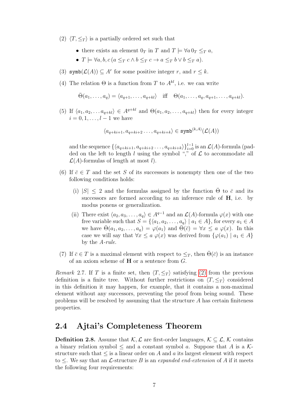- <span id="page-10-1"></span>(2)  $\langle T, \leq_T \rangle$  is a partially ordered set such that
	- there exists an element  $0_T$  in T and  $T \models \forall a \, 0_T \leq_T a$ ,
	- $T \models \forall a, b, c \ (a \leq_T c \land b \leq_T c \rightarrow a \leq_T b \lor b \leq_T a).$
- (3)  $\text{symbol}(\mathcal{L}(A)) \subseteq A^r$  for some positive integer r, and  $r \leq k$ .
- (4) The relation  $\Theta$  is a function from T to  $A^{kl}$ , i.e. we can write

$$
\overline{\Theta}(a_1,\ldots,a_q)=\langle a_{q+1},\ldots,a_{q+kl}\rangle \quad \text{iff} \quad \Theta(a_1,\ldots,a_q,a_{q+1},\ldots,a_{q+kl}).
$$

(5) If  $\langle a_1, a_2, \ldots, a_{q+kl} \rangle \in A^{q+kl}$  and  $\Theta(a_1, a_2, \ldots, a_{q+kl})$  then for every integer  $i = 0, 1, \ldots, l - 1$  we have

$$
\langle a_{q+ki+1}, a_{q+ki+2} \dots, a_{q+ki+k} \rangle \in \text{symb}^{(k,A)}(\mathcal{L}(A))
$$

and the sequence  $\{\langle a_{q+ki+1}, a_{q+ki+2} \dots, a_{q+ki+k} \rangle\}_{i=0}^{l-1}$  is an  $\mathcal{L}(A)$ -formula (padded on the left to length  $l$  using the symbol "," of  $\mathcal L$  to accommodate all  $\mathcal{L}(A)$ -formulas of length at most l).

- (6) If  $\bar{c} \in T$  and the set S of its successors is nonempty then one of the two following conditions holds:
	- (i)  $|S| \leq 2$  and the formulas assigned by the function  $\Theta$  to  $\bar{c}$  and its successors are formed according to an inference rule of  $H$ , i.e. by modus ponens or generalization.
	- (ii) There exist  $\langle a_2, a_3, \ldots, a_q \rangle \in A^{q-1}$  and an  $\mathcal{L}(A)$ -formula  $\varphi(x)$  with one free variable such that  $S = \{ \langle a_1, a_2, \ldots, a_q \rangle \mid a_1 \in A \}$ , for every  $a_1 \in A$ we have  $\bar{\Theta}(a_1, a_2, \ldots, a_q) = \varphi(a_1)$  and  $\bar{\Theta}(\bar{c}) = \forall x \leq a \varphi(x)$ . In this case we will say that  $\forall x \leq a \varphi(x)$  was derived from  $\{\varphi(a_1) \mid a_1 \in A\}$ by the A-rule.
- (7) If  $\bar{c} \in T$  is a maximal element with respect to  $\leq_T$ , then  $\Theta(\bar{c})$  is an instance of an axiom scheme of  $H$  or a sentence from  $G$ .

Remark 2.7. If T is a finite set, then  $\langle T, \leq_T \rangle$  satisfying [\(2\)](#page-10-1) from the previous definition is a finite tree. Without further restrictions on  $\langle T, \leq_T \rangle$  considered in this definition it may happen, for example, that it contains a non-maximal element without any successors, preventing the proof from being sound. These problems will be resolved by assuming that the structure A has certain finiteness properties.

## <span id="page-10-0"></span>2.4 Ajtai's Completeness Theorem

**Definition 2.8.** Assume that  $\mathcal{K}, \mathcal{L}$  are first-order languages,  $\mathcal{K} \subseteq \mathcal{L}, \mathcal{K}$  contains a binary relation symbol  $\leq$  and a constant symbol a. Suppose that A is a Kstructure such that  $\leq$  is a linear order on A and a its largest element with respect to  $\leq$ . We say that an *L*-structure *B* is an *expanded end-extension* of *A* if it meets the following four requirements: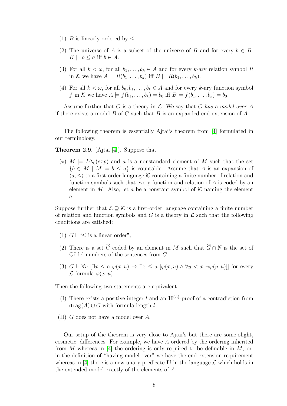- (1) *B* is linearly ordered by  $\leq$ .
- (2) The universe of A is a subset of the universe of B and for every  $b \in B$ ,  $B \models b \leq a$  iff  $b \in A$ .
- (3) For all  $k < \omega$ , for all  $b_1, \ldots, b_k \in A$  and for every k-ary relation symbol R in K we have  $A \models R(b_1, \ldots, b_k)$  iff  $B \models R(b_1, \ldots, b_k)$ .
- (4) For all  $k < \omega$ , for all  $b_0, b_1, \ldots, b_k \in A$  and for every k-ary function symbol f in K we have  $A \models f(b_1,\ldots,b_k) = b_0$  iff  $B \models f(b_1,\ldots,b_k) = b_0$ .

Assume further that G is a theory in  $\mathcal{L}$ . We say that G has a model over A if there exists a model  $B$  of  $G$  such that  $B$  is an expanded end-extension of  $A$ .

The following theorem is essentially Ajtai's theorem from [\[4\]](#page-18-5) formulated in our terminology.

<span id="page-11-0"></span>Theorem 2.9. (Ajtai [\[4\]](#page-18-5)). Suppose that

 $(\star)$   $M \models I\Delta_0(exp)$  and a is a nonstandard element of M such that the set  ${b \in M \mid M \models b \leq a}$  is countable. Assume that A is an expansion of  $\langle a, \leq \rangle$  to a first-order language K containing a finite number of relation and function symbols such that every function and relation of A is coded by an element in M. Also, let a be a constant symbol of K naming the element a.

Suppose further that  $\mathcal{L} \supset \mathcal{K}$  is a first-order language containing a finite number of relation and function symbols and G is a theory in  $\mathcal L$  such that the following conditions are satisfied:

- (1)  $G \vdash ``\leq$  is a linear order",
- (2) There is a set  $\widehat{G}$  coded by an element in M such that  $\widehat{G} \cap N$  is the set of Gödel numbers of the sentences from  $G$ .
- <span id="page-11-1"></span>(3)  $G \vdash \forall \bar{u} \ [\exists x \leq a \ \varphi(x, \bar{u}) \rightarrow \exists x \leq a \ [\varphi(x, \bar{u}) \wedge \forall y < x \ \neg \varphi(y, \bar{u})]$  for every  $\mathcal{L}$ -formula  $\varphi(x,\bar{u})$ .

Then the following two statements are equivalent:

- <span id="page-11-2"></span>(I) There exists a positive integer l and an  $\mathbf{H}^{(A)}$ -proof of a contradiction from diag(A) ∪ G with formula length l.
- <span id="page-11-3"></span>(II) G does not have a model over A.

Our setup of the theorem is very close to Ajtai's but there are some slight, cosmetic, differences. For example, we have A ordered by the ordering inherited from M whereas in [\[4\]](#page-18-5) the ordering is only required to be definable in  $M$ , or, in the definition of "having model over" we have the end-extension requirement whereas in [\[4\]](#page-18-5) there is a new unary predicate U in the language  $\mathcal L$  which holds in the extended model exactly of the elements of A.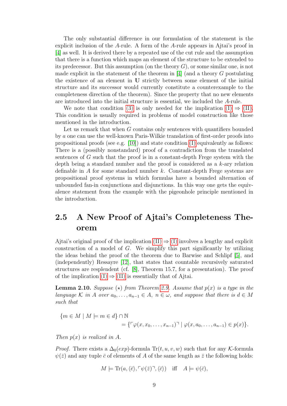The only substantial difference in our formulation of the statement is the explicit inclusion of the A-rule. A form of the A-rule appears in Ajtai's proof in [\[4\]](#page-18-5) as well. It is derived there by a repeated use of the cut rule and the assumption that there is a function which maps an element of the structure to be extended to its predecessor. But this assumption (on the theory  $G$ ), or some similar one, is not made explicit in the statement of the theorem in [\[4\]](#page-18-5) (and a theory  $G$  postulating the existence of an element in U strictly between some element of the initial structure and its successor would currently constitute a counterexample to the completeness direction of the theorem). Since the property that no new elements are introduced into the initial structure is essential, we included the A-rule.

We note that condition [\(3\)](#page-11-1) is only needed for the implication [\(I\)](#page-11-2)  $\Rightarrow$  [\(II\).](#page-11-3) This condition is usually required in problems of model construction like those mentioned in the introduction.

Let us remark that when G contains only sentences with quantifiers bounded by a one can use the well-known Paris-Wilkie translation of first-order proofs into propositional proofs (see e.g. [\[10\]](#page-18-8)) and state condition [\(I\)](#page-11-2) equivalently as follows: There is a (possibly nonstandard) proof of a contradiction from the translated sentences of G such that the proof is in a constant-depth Frege system with the depth being a standard number and the proof is considered as a k-ary relation definable in  $A$  for some standard number  $k$ . Constant-depth Frege systems are propositional proof systems in which formulas have a bounded alternation of unbounded fan-in conjunctions and disjunctions. In this way one gets the equivalence statement from the example with the pigeonhole principle mentioned in the introduction.

## <span id="page-12-0"></span>2.5 A New Proof of Ajtai's Completeness Theorem

Ajtai's original proof of the implication  $(II) \Rightarrow (I)$  $(II) \Rightarrow (I)$  involves a lengthy and explicit construction of a model of  $G$ . We simplify this part significantly by utilizing the ideas behind the proof of the theorem due to Barwise and Schlipf [\[5\]](#page-18-9), and (independently) Ressayre [\[12\]](#page-18-10), that states that countable recursively saturated structures are resplendent (cf. [\[8\]](#page-18-11), Theorem 15.7, for a presentation). The proof of the implication  $(I) \Rightarrow (II)$  $(I) \Rightarrow (II)$  is essentially that of Ajtai.

<span id="page-12-1"></span>**Lemma 2.10.** Suppose  $(\star)$  from Theorem [2.9.](#page-11-0) Assume that  $p(x)$  is a type in the language K in A over  $a_0, \ldots, a_{n-1} \in A$ ,  $n \in \omega$ , and suppose that there is  $d \in M$ such that

$$
\{m \in M \mid M \models m \in d\} \cap \mathbb{N}
$$
  
= 
$$
\{\ulcorner \varphi(x, x_0, \ldots, x_{n-1}) \urcorner \mid \varphi(x, a_0, \ldots, a_{n-1}) \in p(x)\}.
$$

Then  $p(x)$  is realized in A.

*Proof.* There exists a  $\Delta_0(exp)$ -formula Tr $(t, u, v, w)$  such that for any K-formula  $\psi(\bar{z})$  and any tuple  $\bar{c}$  of elements of A of the same length as  $\bar{z}$  the following holds:

 $M \models \text{Tr}(a,\langle \bar{e} \rangle,\ulcorner \psi(\bar{z})\urcorner,\langle \bar{c} \rangle)$  iff  $A \models \psi(\bar{c}),$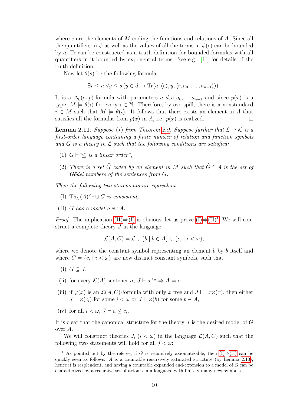where  $\bar{e}$  are the elements of M coding the functions and relations of A. Since all the quantifiers in  $\psi$  as well as the values of all the terms in  $\psi(\bar{c})$  can be bounded by a, Tr can be constructed as a truth definition for bounded formulas with all quantifiers in it bounded by exponential terms. See e.g. [\[11\]](#page-18-12) for details of the truth definition.

Now let  $\theta(s)$  be the following formula:

$$
\exists r \le a \ \forall y \le s \ (y \in d \to \text{Tr}(a, \langle \overline{e} \rangle, y, \langle r, a_0, \dots, a_{n-1} \rangle)).
$$

It is a  $\Delta_0(exp)$ -formula with parameters  $a, d, \overline{e}, a_0, \ldots a_{n-1}$  and since  $p(x)$  is a type,  $M \models \theta(i)$  for every  $i \in \mathbb{N}$ . Therefore, by overspill, there is a nonstandard  $i \in M$  such that  $M \models \theta(i)$ . It follows that there exists an element in A that satisfies all the formulas from  $p(x)$  in A, i.e.  $p(x)$  is realized.  $\Box$ 

<span id="page-13-6"></span>**Lemma 2.11.** Suppose  $(\star)$  from Theorem [2.9.](#page-11-0) Suppose further that  $\mathcal{L} \supset \mathcal{K}$  is a first-order language containing a finite number of relation and function symbols and G is a theory in  $\mathcal L$  such that the following conditions are satisfied:

- (1)  $G \vdash ``\leq is a linear order",$
- <span id="page-13-5"></span>(2) There is a set  $\widehat{G}$  coded by an element in M such that  $\widehat{G} \cap \mathbb{N}$  is the set of  $G\ddot{o}del$  numbers of the sentences from  $G$ .

Then the following two statements are equivalent:

- <span id="page-13-1"></span>(I) Th $_K(A)^{\le a} \cup G$  is consistent,
- <span id="page-13-0"></span>(II) G has a model over A.

*Proof.* The implication [\(II\)](#page-13-0) $\Rightarrow$ [\(I\)](#page-13-1) is obvious; let us prove [\(I\)](#page-13-1) $\Rightarrow$ [\(II\)](#page-13-0)<sup>[1](#page-13-2)</sup>. We will construct a complete theory  $J$  in the language

$$
\mathcal{L}(A, C) = \mathcal{L} \cup \{b \mid b \in A\} \cup \{c_i \mid i < \omega\},
$$

where we denote the constant symbol representing an element  $b$  by  $b$  itself and where  $C = \{c_i \mid i < \omega\}$  are new distinct constant symbols, such that

- <span id="page-13-3"></span>(i)  $G \subset J$ ,
- (ii) for every  $\mathcal{K}(A)$ -sentence  $\sigma$ ,  $J \vdash \sigma^{\leq a} \Rightarrow A \models \sigma$ ,
- (iii) if  $\varphi(x)$  is an  $\mathcal{L}(A, C)$ -formula with only x free and  $J \vdash \exists x \varphi(x)$ , then either  $J \vdash \varphi(c_i)$  for some  $i < \omega$  or  $J \vdash \varphi(b)$  for some  $b \in A$ ,
- <span id="page-13-4"></span>(iv) for all  $i < \omega, J \vdash a \leq c_i$ .

It is clear that the canonical structure for the theory J is the desired model of G over A.

We will construct theories  $J_i$   $(i < \omega)$  in the language  $\mathcal{L}(A, C)$  such that the following two statements will hold for all  $j < \omega$ :

<span id="page-13-2"></span><sup>&</sup>lt;sup>1</sup> As pointed out by the referee, if G is recursively axiomatizable, then  $(I) \Rightarrow (II)$  $(I) \Rightarrow (II)$  can be quickly seen as follows: A is a countable recursively saturated structure (by Lemma [2.10\)](#page-12-1), hence it is resplendent, and having a countable expanded end-extension to a model of G can be characterized by a recursive set of axioms in a language with finitely many new symbols.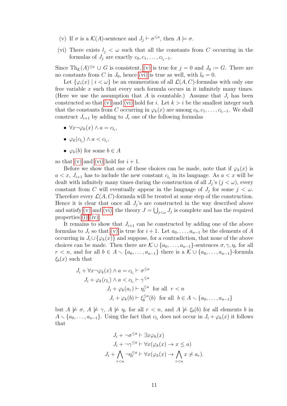- <span id="page-14-0"></span>(v) If  $\sigma$  is a  $\mathcal{K}(A)$ -sentence and  $J_j \vdash \sigma^{\leq a}$ , then  $A \models \sigma$ .
- <span id="page-14-1"></span>(vi) There exists  $l_i < \omega$  such that all the constants from C occurring in the formulas of  $J_j$  are exactly  $c_0, c_1, \ldots, c_{l_j-1}$ .

Since  $\text{Th}_{\mathcal{K}}(A)^{\leq a} \cup G$  is consistent, [\(v\)](#page-14-0) is true for  $j = 0$  and  $J_0 := G$ . There are no constants from C in  $J_0$ , hence [\(vi\)](#page-14-1) is true as well, with  $l_0 = 0$ .

Let  $\{\varphi_i(x) \mid i < \omega\}$  be an enumeration of all  $\mathcal{L}(A, C)$ -formulas with only one free variable  $x$  such that every such formula occurs in it infinitely many times. (Here we use the assumption that A is countable.) Assume that  $J_i$  has been constructed so that [\(v\)](#page-14-0) and [\(vi\)](#page-14-1) hold for i. Let  $k > i$  be the smallest integer such that the constants from C occurring in  $\varphi_k(x)$  are among  $c_0, c_1, \ldots, c_{l_i-1}$ . We shall construct  $J_{i+1}$  by adding to  $J_i$  one of the following formulas

- $\forall x \neg \varphi_k(x) \land a = c_{l_i},$
- $\varphi_k(c_{l_i}) \wedge a < c_{l_i},$
- $\varphi_k(b)$  for some  $b \in A$

so that [\(v\)](#page-14-0) and [\(vi\)](#page-14-1) hold for  $i+1$ .

Before we show that one of these choices can be made, note that if  $\varphi_k(x)$  is  $a < x, J_{i+1}$  has to include the new constant  $c_{l_i}$  in its language. As  $a < x$  will be dealt with infinitely many times during the construction of all  $J_j$ 's  $(j < \omega)$ , every constant from C will eventually appear in the language of  $J_j$  for some  $j < \omega$ . Therefore every  $\mathcal{L}(A, C)$ -formula will be treated at some step of the construction. Hence it is clear that once all  $J_j$ 's are constructed in the way described above and satisfy [\(v\)](#page-14-0) and [\(vi\),](#page-14-1) the theory  $J = \bigcup_{j<\omega} J_j$  is complete and has the required properties [\(i\)-](#page-13-3)[\(iv\).](#page-13-4)

It remains to show that  $J_{i+1}$  can be constructed by adding one of the above formulas to  $J_i$  so that [\(v\)](#page-14-0) is true for  $i + 1$ . Let  $a_0, \ldots, a_{n-1}$  be the elements of A occurring in  $J_i \cup {\varphi_k(x)}$  and suppose, for a contradiction, that none of the above choices can be made. Then there are  $\mathcal{K} \cup \{a_0, \ldots, a_{n-1}\}$ -sentences  $\sigma, \gamma, \eta_r$  for all  $r < n$ , and for all  $b \in A \setminus \{a_0, \ldots, a_{n-1}\}\$  there is a  $\mathcal{K} \cup \{a_0, \ldots, a_{n-1}\}\$ -formula  $\xi_b(x)$  such that

$$
J_i + \forall x \neg \varphi_k(x) \land a = c_{l_i} \vdash \sigma^{\le a}
$$
  
\n
$$
J_i + \varphi_k(c_{l_i}) \land a < c_{l_i} \vdash \gamma^{\le a}
$$
  
\n
$$
J_i + \varphi_k(a_r) \vdash \eta_r^{\le a} \text{ for all } r < n
$$
  
\n
$$
J_i + \varphi_k(b) \vdash \xi_b^{\le a}(b) \text{ for all } b \in A \setminus \{a_0, \ldots, a_{n-1}\}
$$

but  $A \not\models \sigma$ ,  $A \not\models \gamma$ ,  $A \not\models \eta_r$  for all  $r < n$ , and  $A \not\models \xi_b(b)$  for all elements b in  $A \setminus \{a_0, \ldots, a_{n-1}\}.$  Using the fact that  $c_{l_i}$  does not occur in  $J_i + \varphi_k(x)$  it follows that

$$
J_i + \neg \sigma^{\leq a} \vdash \exists x \varphi_k(x)
$$
  
\n
$$
J_i + \neg \gamma^{\leq a} \vdash \forall x (\varphi_k(x) \to x \leq a)
$$
  
\n
$$
J_i + \bigwedge_{r < n} \neg \eta_r^{\leq a} \vdash \forall x (\varphi_k(x) \to \bigwedge_{r < n} x \neq a_r).
$$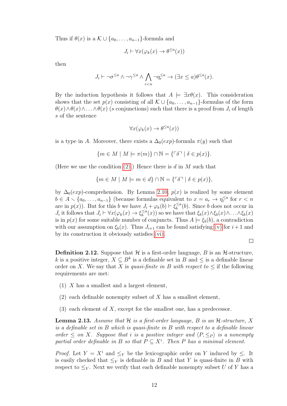Thus if  $\theta(x)$  is a  $\mathcal{K} \cup \{a_0, \ldots, a_{n-1}\}$ -formula and

$$
J_i \vdash \forall x (\varphi_k(x) \to \theta^{\le a}(x))
$$

then

$$
J_i \vdash \neg \sigma^{\leq a} \land \neg \gamma^{\leq a} \land \bigwedge_{r < n} \neg \eta^{\leq a}_r \to (\exists x \leq a) \theta^{\leq a}(x).
$$

By the induction hypothesis it follows that  $A \models \exists x \theta(x)$ . This consideration shows that the set  $p(x)$  consisting of all  $\mathcal{K} \cup \{a_0, \ldots, a_{n-1}\}$ -formulas of the form  $\theta(x)\wedge\theta(x)\wedge\ldots\wedge\theta(x)$  (s conjunctions) such that there is a proof from  $J_i$  of length s of the sentence

$$
\forall x (\varphi_k(x) \to \theta^{\le a}(x))
$$

is a type in A. Moreover, there exists a  $\Delta_0(exp)$ -formula  $\pi(y)$  such that

$$
\{m \in M \mid M \models \pi(m)\} \cap \mathbb{N} = \{\ulcorner \delta \urcorner \mid \delta \in p(x)\}.
$$

(Here we use the condition  $(2)$ .) Hence there is d in M such that

$$
\{m \in M \mid M \models m \in d\} \cap \mathbb{N} = \{\ulcorner \delta \urcorner \mid \delta \in p(x)\},\
$$

by  $\Delta_0(exp)$ -comprehension. By Lemma [2.10,](#page-12-1)  $p(x)$  is realized by some element  $b \in A \setminus \{a_0, \ldots, a_{n-1}\}\)$  (because formulas equivalent to  $x = a_r \to \eta_r^{\le a}$  for  $r < n$ are in  $p(x)$ ). But for this b we have  $J_i + \varphi_k(b) \vdash \xi_b^{\leq a}$  $\frac{1}{b}$ <sup> $\leq$ </sup> $(a)$ . Since *b* does not occur in  $J_i$  it follows that  $J_i \vdash \forall x (\varphi_k(x) \to \xi_b^{\leq a})$  $\zeta_b^{\le a}(x)$  so we have that  $\xi_b(x) \wedge \xi_b(x) \wedge \ldots \wedge \xi_b(x)$ is in  $p(x)$  for some suitable number of conjuncts. Thus  $A \models \xi_b(b)$ , a contradiction with our assumption on  $\xi_b(x)$ . Thus  $J_{i+1}$  can be found satisfying [\(v\)](#page-14-0) for  $i+1$  and by its construction it obviously satisfies [\(vi\).](#page-14-1)

**Definition 2.12.** Suppose that  $\mathcal{H}$  is a first-order language,  $B$  is an  $\mathcal{H}$ -structure, k is a positive integer,  $X \subseteq B^k$  is a definable set in B and  $\leq$  is a definable linear order on X. We say that X is quasi-finite in B with respect to  $\leq$  if the following requirements are met:

- $(1)$  X has a smallest and a largest element,
- (2) each definable nonempty subset of  $X$  has a smallest element,
- $(3)$  each element of X, except for the smallest one, has a predecessor.

<span id="page-15-0"></span>**Lemma 2.13.** Assume that  $\mathcal H$  is a first-order language,  $B$  is an  $\mathcal H$ -structure,  $X$ is a definable set in B which is quasi-finite in B with respect to a definable linear order  $\leq$  on X. Suppose that i is a positive integer and  $\langle P, \leq_P \rangle$  is a nonempty partial order definable in B so that  $P \subseteq X^i$ . Then P has a minimal element.

*Proof.* Let  $Y = X^i$  and  $\leq_Y$  be the lexicographic order on Y induced by  $\leq$ . It is easily checked that  $\leq_Y$  is definable in B and that Y is quasi-finite in B with respect to  $\leq_Y$ . Next we verify that each definable nonempty subset U of Y has a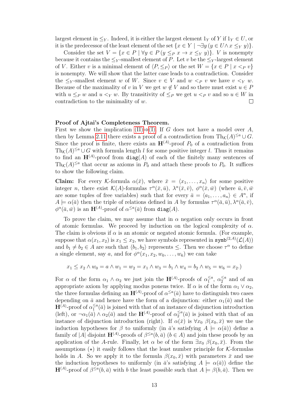largest element in  $\leq_Y$ . Indeed, it is either the largest element  $1_Y$  of Y if  $1_Y \in U$ , or it is the predecessor of the least element of the set  $\{x \in Y \mid \neg \exists y (y \in U \land x \leq_Y y)\}.$ 

Consider the set  $V = \{x \in P \mid \forall y \in P \ (y \leq_P x \rightarrow x \leq_Y y)\}.$  *V* is nonempty because it contains the  $\leq_Y$ -smallest element of P. Let v be the  $\leq_Y$ -largest element of V. Either v is a minimal element of  $\langle P, \leq_P \rangle$  or the set  $W = \{x \in P \mid x \leq_P v\}$ is nonempty. We will show that the latter case leads to a contradiction. Consider the  $\leq_Y$ -smallest element w of W. Since  $v \in V$  and  $w \leq_P v$  we have  $v \leq_Y w$ . Because of the maximality of v in V we get  $w \notin V$  and so there must exist  $u \in P$ with  $u \leq_P w$  and  $u \leq_Y w$ . By transitivity of  $\leq_P w$  we get  $u \leq_P v$  and so  $u \in W$  in contradiction to the minimality of w.  $\Box$ 

#### Proof of Ajtai's Completeness Theorem.

First we show the implication [\(II\)](#page-11-3) $\Rightarrow$ [\(I\).](#page-11-2) If G does not have a model over A, then by Lemma [2.11](#page-13-6) there exists a proof of a contradiction from  $\text{Th}_{\mathcal{K}}(A)^{\leq a} \cup G$ . Since the proof is finite, there exists an  $\mathbf{H}^{(A)}$ -proof  $P_0$  of a contradiction from  $\text{Th}_{\mathcal{K}}(A)^{\leq a} \cup G$  with formula length l for some positive integer l. Thus it remains to find an  $\mathbf{H}^{(A)}$ -proof from  $\text{diag}(A)$  of each of the finitely many sentences of Th $_K(A)^{\leq a}$  that occur as axioms in  $P_0$  and attach these proofs to  $P_0$ . It suffices to show the following claim.

**Claim:** For every K-formula  $\alpha(\bar{x})$ , where  $\bar{x} = \langle x_1, \ldots, x_n \rangle$  for some positive integer *n*, there exist  $\mathcal{K}(A)$ -formulas  $\tau^{\alpha}(\bar{x}, \bar{u}), \ \lambda^{\alpha}(\bar{x}, \bar{v}), \ \phi^{\alpha}(\bar{x}, \bar{w})$  (where  $\bar{u}, \bar{v}, \bar{w}$ are some tuples of free variables) such that for every  $\bar{a} = \langle a_1, \ldots, a_n \rangle \in A^n$ , if  $A \models \alpha(\bar{a})$  then the triple of relations defined in A by formulas  $\tau^{\alpha}(\bar{a}, \bar{u}), \lambda^{\alpha}(\bar{a}, \bar{v}),$  $\phi^{\alpha}(\bar a, \bar w)$  is an  ${\bf H}^{(A)}$ -proof of  $\alpha^{\le a}(\bar a)$  from  ${\tt diag}(A).$ 

To prove the claim, we may assume that in  $\alpha$  negation only occurs in front of atomic formulas. We proceed by induction on the logical complexity of  $\alpha$ . The claim is obvious if  $\alpha$  is an atomic or negated atomic formula. (For example, suppose that  $\alpha(x_1, x_2)$  is  $x_1 \le x_2$ , we have symbols represented in symb $(2,A)(\mathcal{L}(A))$ and  $b_1 \neq b_2 \in A$  are such that  $\langle b_1, b_2 \rangle$  represents  $\leq$ . Then we choose  $\tau^{\alpha}$  to define a single element, say a, and for  $\phi^{\alpha}(x_1, x_2, w_0, \ldots, w_6)$  we can take

$$
x_1 \le x_2 \land w_0 = a \land w_1 = w_2 = x_1 \land w_3 = b_1 \land w_4 = b_2 \land w_5 = w_6 = x_2.
$$

For  $\alpha$  of the form  $\alpha_1 \wedge \alpha_2$  we just join the  $\mathbf{H}^{(A)}$ -proofs of  $\alpha_1^{\leq a}$  $\frac{\leq a}{1}, \ \alpha_2^{\leq a}$  $\frac{1}{2}^a$  and of an appropriate axiom by applying modus ponens twice. If  $\alpha$  is of the form  $\alpha_1 \vee \alpha_2$ , the three formulas defining an  $\mathbf{H}^{(A)}$ -proof of  $\alpha^{\le a}(\bar{a})$  have to distinguish two cases depending on  $\bar{a}$  and hence have the form of a disjunction: either  $\alpha_1(\bar{a})$  and the  $\mathbf{H}^{(A)}$ -proof of  $\alpha_1^{\le a}$  $\frac{1}{1}$ <sup>a</sup>( $\bar{a}$ ) is joined with that of an instance of disjunction introduction (left), or  $\neg \alpha_1(\bar{a}) \wedge \alpha_2(\bar{a})$  and the  $\mathbf{H}^{(A)}$ -proof of  $\alpha_2^{\leq a}$  $\frac{\leq a}{2}(\bar{a})$  is joined with that of an instance of disjunction introduction (right). If  $\alpha(\bar{x})$  is  $\forall x_0 \; \beta(x_0, \bar{x})$  we use the induction hypotheses for  $\beta$  to uniformly (in  $\bar{a}$ 's satisfying  $A \models \alpha(\bar{a})$ ) define a family of |A| disjoint  $\mathbf{H}^{(A)}$ -proofs of  $\beta^{\leq a}(b, \bar{a})$  ( $b \in A$ ) and join these proofs by an application of the A-rule. Finally, let  $\alpha$  be of the form  $\exists x_0 \; \beta(x_0, \bar{x})$ . From the assumptions  $(\star)$  it easily follows that the least number principle for K-formulas holds in A. So we apply it to the formula  $\beta(x_0, \bar{x})$  with parameters  $\bar{x}$  and use the induction hypotheses to uniformly (in  $\bar{a}$ 's satisfying  $A \models \alpha(\bar{a})$ ) define the  $\mathbf{H}^{(A)}$ -proof of  $\beta^{\le a}(b,\bar{a})$  with b the least possible such that  $A \models \beta(b,\bar{a})$ . Then we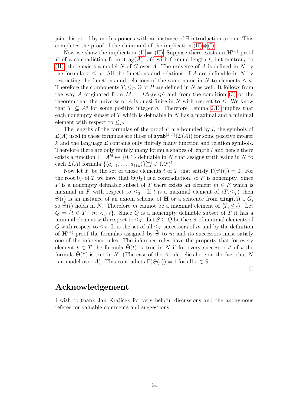join this proof by modus ponens with an instance of ∃-introduction axiom. This completes the proof of the claim and of the implication  $(II) \Rightarrow (I)$ .

Now we show the implication [\(I\)](#page-11-2)  $\Rightarrow$  [\(II\).](#page-11-3) Suppose there exists an  $\mathbf{H}^{(A)}$ -proof P of a contradiction from  $diag(A) \cup G$  with formula length l, but contrary to [\(II\),](#page-11-3) there exists a model N of G over A. The universe of A is defined in N by the formula  $x \leq a$ . All the functions and relations of A are definable in N by restricting the functions and relations of the same name in N to elements  $\leq a$ . Therefore the components  $T, \leq_T, \Theta$  of P are defined in N as well. It follows from the way A originated from  $M \models I\Delta_0(exp)$  and from the condition [\(3\)](#page-11-1) of the theorem that the universe of A is quasi-finite in N with respect to  $\leq$ . We know that  $T \subseteq A^q$  for some positive integer q. Therefore Lemma [2.13](#page-15-0) implies that each nonempty subset of  $T$  which is definable in  $N$  has a maximal and a minimal element with respect to  $\leq_T$ .

The lengths of the formulas of the proof  $P$  are bounded by  $l$ , the symbols of  $\mathcal{L}(A)$  used in these formulas are those of  $\text{symb}^{(k,A)}(\mathcal{L}(A))$  for some positive integer k and the language  $\mathcal L$  contains only finitely many function and relation symbols. Therefore there are only finitely many formula shapes of length  $l$  and hence there exists a function  $\Gamma : A^{kl} \mapsto \{0, 1\}$  definable in N that assigns truth value in N to each  $\mathcal{L}(A)$  formula  $\{\langle a_{i+1}, \ldots, a_{i+k}\rangle\}_{i=0}^{l-1} \in (A^k)^l$ .

Now let F be the set of those elements t of T that satisfy  $\Gamma(\bar{\Theta}(t)) = 0$ . For the root  $0_T$  of T we have that  $\bar{\Theta}(0_T)$  is a contradiction, so F is nonempty. Since F is a nonempty definable subset of T there exists an element  $m \in F$  which is maximal in F with respect to  $\leq_T$ . If t is a maximal element of  $\langle T, \leq_T \rangle$  then  $\Theta(t)$  is an instance of an axiom scheme of **H** or a sentence from diag(A) ∪ G, so  $\Theta(t)$  holds in N. Therefore m cannot be a maximal element of  $\langle T, \leq_T \rangle$ . Let  $Q = \{t \in T \mid m \leq T t\}.$  Since Q is a nonempty definable subset of T it has a minimal element with respect to  $\leq_T$ . Let  $S \subseteq Q$  be the set of minimal elements of Q with respect to  $\leq_T$ . It is the set of all  $\leq_T$ -successors of m and by the definition of  $\mathbf{H}^{(A)}$ -proof the formulas assigned by  $\bar{\Theta}$  to m and its successors must satisfy one of the inference rules. The inference rules have the property that for every element  $t \in T$  the formula  $\bar{\Theta}(t)$  is true in N if for every successor t' of t the formula  $\bar{\Theta}(t')$  is true in N. (The case of the A-rule relies here on the fact that N is a model over A). This contradicts  $\Gamma(\Theta(s)) = 1$  for all  $s \in S$ .

 $\Box$ 

## Acknowledgement

I wish to thank Jan Krajíček for very helpful discussions and the anonymous referee for valuable comments and suggestions.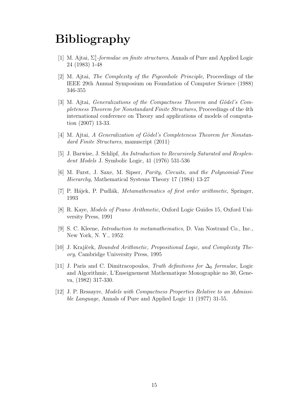# <span id="page-18-0"></span>Bibliography

- <span id="page-18-2"></span>[1] M. Ajtai,  $\Sigma_1^1$ -formulae on finite structures, Annals of Pure and Applied Logic 24 (1983) 1-48
- <span id="page-18-4"></span>[2] M. Ajtai, The Complexity of the Pigeonhole Principle, Proceedings of the IEEE 29th Annual Symposium on Foundation of Computer Science (1988) 346-355
- <span id="page-18-1"></span>[3] M. Ajtai, *Generalizations of the Compactness Theorem and Gödel's Com*pleteness Theorem for Nonstandard Finite Structures, Proceedings of the 4th international conference on Theory and applications of models of computation (2007) 13-33.
- <span id="page-18-5"></span>[4] M. Ajtai, A Generalization of Gödel's Completeness Theorem for Nonstandard Finite Structures, manuscript (2011)
- <span id="page-18-9"></span>[5] J. Barwise, J. Schlipf, An Introduction to Recursively Saturated and Resplendent Models J. Symbolic Logic, 41 (1976) 531-536
- <span id="page-18-3"></span>[6] M. Furst, J. Saxe, M. Sipser, Parity, Circuits, and the Polynomial-Time Hierarchy, Mathematical Systems Theory 17 (1984) 13-27
- <span id="page-18-6"></span>[7] P. Hájek, P. Pudlák, *Metamathematics of first order arithmetic*, Springer, 1993
- <span id="page-18-11"></span>[8] R. Kaye, Models of Peano Arithmetic, Oxford Logic Guides 15, Oxford University Press, 1991
- <span id="page-18-7"></span>[9] S. C. Kleene, Introduction to metamathematics, D. Van Nostrand Co., Inc., New York, N. Y., 1952.
- <span id="page-18-8"></span>[10] J. Krajíček, *Bounded Arithmetic, Propositional Logic, and Complexity The*ory, Cambridge University Press, 1995
- <span id="page-18-12"></span>[11] J. Paris and C. Dimitracopoulos, Truth definitions for  $\Delta_0$  formulae, Logic and Algorithmic, L'Enseignement Mathematique Monographie no 30, Geneva, (1982) 317-330.
- <span id="page-18-10"></span>[12] J. P. Ressayre, Models with Compactness Properties Relative to an Admissible Language, Annals of Pure and Applied Logic 11 (1977) 31-55.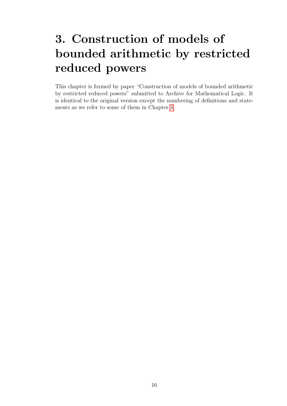# <span id="page-19-0"></span>3. Construction of models of bounded arithmetic by restricted reduced powers

This chapter is formed by paper "Construction of models of bounded arithmetic by restricted reduced powers" submitted to Archive for Mathematical Logic. It is identical to the original version except the numbering of definitions and statements as we refer to some of them in Chapter [4.](#page-42-0)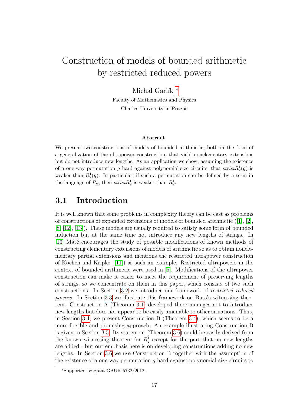## Construction of models of bounded arithmetic by restricted reduced powers

Michal Garlík<sup>\*</sup>

Faculty of Mathematics and Physics Charles University in Prague

#### Abstract

We present two constructions of models of bounded arithmetic, both in the form of a generalization of the ultrapower construction, that yield nonelementary extensions but do not introduce new lengths. As an application we show, assuming the existence of a one-way permutation g hard against polynomial-size circuits, that  $strictR<sub>2</sub><sup>1</sup>(g)$  is weaker than  $R_2^1(g)$ . In particular, if such a permutation can be defined by a term in the language of  $R_2^1$ , then  $strictR_2^1$  is weaker than  $R_2^1$ .

## <span id="page-20-0"></span>3.1 Introduction

It is well known that some problems in complexity theory can be cast as problems ofconstructions of expanded extensions of models of bounded arithmetic  $([1], [2],$  $([1], [2],$  $([1], [2],$  $([1], [2],$  $([1], [2],$ [\[8\]](#page-41-3),[\[12\]](#page-41-4), [\[13\]](#page-41-5)). These models are usually required to satisfy some form of bounded induction but at the same time not introduce any new lengths of strings. In [\[13\]](#page-41-5) Máté encourages the study of possible modifications of known methods of constructing elementary extensions of models of arithmetic so as to obtain nonelementary partial extensions and mentions the restricted ultrapower construction of Kochen and Kripke([\[11\]](#page-41-6)) as such an example. Restricted ultrapowers in the context of bounded arithmetic were used in [\[5\]](#page-41-7). Modifications of the ultrapower construction can make it easier to meet the requirement of preserving lengths of strings, so we concentrate on them in this paper, which consists of two such constructions. In Section [3.2](#page-21-0) we introduce our framework of restricted reduced powers. In Section [3.3](#page-23-0) we illustrate this framework on Buss's witnessing theorem. Construction A (Theorem [3.1\)](#page-23-1) developed there manages not to introduce new lengths but does not appear to be easily amenable to other situations. Thus, in Section [3.4,](#page-31-0) we present Construction B (Theorem [3.4\)](#page-32-0), which seems to be a more flexible and promising approach. An example illustrating Construction B is given in Section [3.5.](#page-37-0) Its statement (Theorem [3.6\)](#page-38-1) could be easily derived from the known witnessing theorem for  $R_2^1$  except for the part that no new lengths are added - but our emphasis here is on developing constructions adding no new lengths. In Section [3.6](#page-38-0) we use Construction B together with the assumption of the existence of a one-way permutation  $g$  hard against polynomial-size circuits to

<span id="page-20-1"></span><sup>∗</sup>Supported by grant GAUK 5732/2012.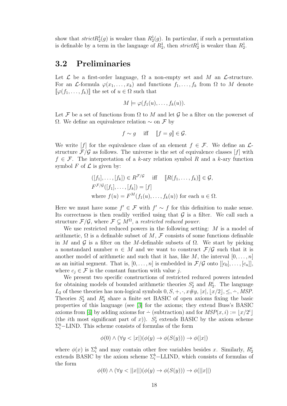show that  $strictR_2^1(g)$  is weaker than  $R_2^1(g)$ . In particular, if such a permutation is definable by a term in the language of  $R_2^1$ , then  $strictR_2^1$  is weaker than  $R_2^1$ .

## <span id="page-21-0"></span>3.2 Preliminaries

Let  $\mathcal L$  be a first-order language,  $\Omega$  a non-empty set and M an  $\mathcal L$ -structure. For an L-formula  $\varphi(x_1,\ldots,x_k)$  and functions  $f_1,\ldots,f_k$  from  $\Omega$  to M denote  $[\![\varphi(f_1,\ldots,f_k)]\!]$  the set of  $u \in \Omega$  such that

$$
M \models \varphi(f_1(u), \ldots, f_k(u)).
$$

Let F be a set of functions from  $\Omega$  to M and let G be a filter on the powerset of Ω. We define an equivalence relation  $∼$  on  $\mathcal F$  by

$$
f \sim g
$$
 iff  $[f = g] \in \mathcal{G}$ .

We write [f] for the equivalence class of an element  $f \in \mathcal{F}$ . We define an  $\mathcal{L}$ structure  $\mathcal{F}/\mathcal{G}$  as follows. The universe is the set of equivalence classes [f] with  $f \in \mathcal{F}$ . The interpretation of a k-ary relation symbol R and a k-ary function symbol  $F$  of  $\mathcal L$  is given by:

$$
([f_1], \ldots, [f_k]) \in R^{\mathcal{F}/\mathcal{G}} \quad \text{iff} \quad [R(f_1, \ldots, f_k)] \in \mathcal{G},
$$
  

$$
F^{\mathcal{F}/\mathcal{G}}([f_1], \ldots, [f_k]) = [f]
$$
  
where  $f(u) = F^M(f_1(u), \ldots, f_k(u))$  for each  $u \in \Omega$ .

Here we must have some  $f' \in \mathcal{F}$  with  $f' \sim f$  for this definition to make sense. Its correctness is then readily verified using that  $G$  is a filter. We call such a structure  $\mathcal{F}/\mathcal{G}$ , where  $\mathcal{F} \subsetneq M^{\Omega}$ , a restricted reduced power.

We use restricted reduced powers in the following setting: M is a model of arithmetic,  $\Omega$  is a definable subset of M, F consists of some functions definable in M and G is a filter on the M-definable subsets of  $\Omega$ . We start by picking a nonstandard number  $n \in M$  and we want to construct  $\mathcal{F}/\mathcal{G}$  such that it is another model of arithmetic and such that it has, like  $M$ , the interval  $[0, \ldots, n]$ as an initial segment. That is,  $[0, \ldots, n]$  is embedded in  $\mathcal{F}/\mathcal{G}$  onto  $[[c_0], \ldots, [c_n]]$ , where  $c_j \in \mathcal{F}$  is the constant function with value j.

We present two specific constructions of restricted reduced powers intended for obtaining models of bounded arithmetic theories  $S_2^i$  and  $R_2^i$ . The language L<sub>2</sub> of these theories has non-logical symbols  $0, S, +, \cdot, x \# y, |x|, |x/2|, \leq, \div, MSP$ . Theories  $S_2^i$  and  $R_2^i$  share a finite set BASIC of open axioms fixing the basic properties of this language (see [\[3\]](#page-41-8) for the axioms; they extend Buss's BASIC axioms from [\[4\]](#page-41-9) by adding axioms for  $\div$  (subtraction) and for  $MSP(x, i) := |x/2^i|$ (the *i*th most significant part of  $x$ )).  $S_2^i$  extends BASIC by the axiom scheme  $\Sigma_i^b$ –LIND. This scheme consists of formulas of the form

$$
\phi(0) \land (\forall y < |x|)(\phi(y) \to \phi(S(y))) \to \phi(|x|)
$$

where  $\phi(x)$  is  $\Sigma_i^b$  and may contain other free variables besides x. Similarly,  $R_2^i$ extends BASIC by the axiom scheme  $\Sigma_i^b$ -LLIND, which consists of formulas of the form

$$
\phi(0) \land (\forall y < ||x||)(\phi(y) \to \phi(S(y))) \to \phi(||x||)
$$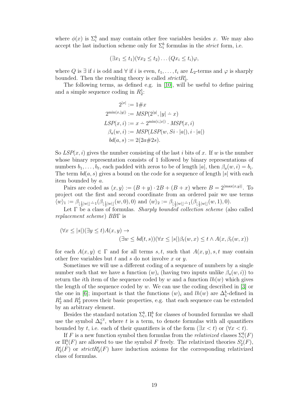where  $\phi(x)$  is  $\Sigma_i^b$  and may contain other free variables besides x. We may also accept the last induction scheme only for  $\Sigma_i^b$  formulas in the *strict* form, i.e.

$$
(\exists x_1 \le t_1)(\forall x_2 \le t_2)\dots(Qx_i \le t_i)\varphi,
$$

where Q is  $\exists$  if i is odd and  $\forall$  if i is even,  $t_1, \ldots, t_i$  are  $L_2$ -terms and  $\varphi$  is sharply bounded. Then the resulting theory is called  $strictR_2^i$ .

The following terms, as defined e.g. in [\[10\]](#page-41-10), will be useful to define pairing and a simple sequence coding in  $R_2^1$ :

$$
2^{|x|} := 1 \# x
$$
  
\n
$$
2^{\min(x,|y|)} := MSP(2^{|y|}, |y| - x)
$$
  
\n
$$
LSP(x, i) := x - 2^{\min(i,|x|)} \cdot MSP(x, i)
$$
  
\n
$$
\beta_a(w, i) := MSP(LSP(w, Si \cdot |a|), i \cdot |a|)
$$
  
\n
$$
bd(a, s) := 2(2a \# 2s).
$$

So  $LSP(x, i)$  gives the number consisting of the last i bits of x. If w is the number whose binary representation consists of 1 followed by binary representations of numbers  $b_1, \ldots, b_\ell$ , each padded with zeros to be of length  $|a|$ , then  $\beta_a(w, i) = b_i$ . The term  $bd(a, s)$  gives a bound on the code for a sequence of length  $|s|$  with each item bounded by a.

Pairs are coded as  $\langle x, y \rangle := (B + y) \cdot 2B + (B + x)$  where  $B = 2^{\lfloor \max(x,y) \rfloor}$ . To project out the first and second coordinate from an ordered pair we use terms  $\langle w \rangle_1 := \beta_{\lfloor \frac{1}{2}|w| \rfloor - 1}(\beta_{\lfloor \frac{1}{2}|w| \rfloor}(w,0),0)$  and  $\langle w \rangle_2 := \beta_{\lfloor \frac{1}{2}|w| \rfloor - 1}(\beta_{\lfloor \frac{1}{2}|w| \rfloor}(w,1),0)$ .

Let  $\Gamma$  be a class of formulas. Sharply bounded collection scheme (also called replacement scheme) BBΓ is

$$
(\forall x \le |s|)(\exists y \le t)A(x, y) \to
$$
  

$$
(\exists w \le bd(t, s))(\forall x \le |s|)\beta_t(w, x) \le t \land A(x, \beta_t(w, x))
$$

for each  $A(x, y) \in \Gamma$  and for all terms s, t, such that  $A(x, y)$ , s, t may contain other free variables but  $t$  and  $s$  do not involve  $x$  or  $y$ .

Sometimes we will use a different coding of a sequence of numbers by a single number such that we have a function  $(w)_i$  (having two inputs unlike  $\beta_a(w, i)$ ) to return the *i*th item of the sequence coded by w and a function  $lh(w)$  which gives the length of the sequence coded by  $w$ . We can use the coding described in [\[3\]](#page-41-8) or the one in [\[6\]](#page-41-11); important is that the functions  $(w)_i$  and  $lh(w)$  are  $\Delta_1^b$ -defined in  $R_2^1$  and  $R_2^1$  proves their basic properties, e.g. that each sequence can be extended by an arbitrary element.

Besides the standard notation  $\Sigma_i^b$ ,  $\Pi_i^b$  for classes of bounded formulas we shall use the symbol  $\Delta_0^{, where t is a term, to denote formulas with all quantifiers$ bounded by t, i.e. each of their quantifiers is of the form  $(\exists x < t)$  or  $(\forall x < t)$ .

If F is a new function symbol then formulas from the *relativized* classes  $\Sigma_i^b(F)$ or  $\Pi_i^b(F)$  are allowed to use the symbol F freely. The relativized theories  $S_2^i(F)$ ,  $R_2^i(F)$  or strict  $R_2^i(F)$  have induction axioms for the corresponding relativized class of formulas.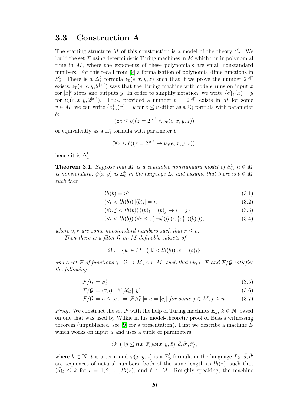### <span id="page-23-0"></span>3.3 Construction A

The starting structure M of this construction is a model of the theory  $S_2^1$ . We build the set  $\mathcal F$  using deterministic Turing machines in  $M$  which run in polynomial time in M, where the exponents of these polynomials are small nonstandard numbers. For this recall from [\[9\]](#page-41-12) a formalization of polynomial-time functions in  $S_2^1$ . There is a  $\Delta_1^b$  formula  $\nu_0(e, x, y, z)$  such that if we prove the number  $2^{|x|^e}$ exists,  $\nu_0(e, x, y, 2^{x|e})$  says that the Turing machine with code e runs on input x for  $|x|^e$  steps and outputs y. In order to simplify notation, we write  $\{e\}_1(x) = y$ for  $\nu_0(e, x, y, 2^{|x|^e})$ . Thus, provided a number  $b = 2^{|x|^v}$  exists in M for some  $v \in M$ , we can write  $\{e\}_1(x) = y$  for  $e \le v$  either as a  $\Sigma_1^b$  formula with parameter  $h$ :

$$
(\exists z \le b)(z = 2^{|x|^e} \wedge \nu_0(e, x, y, z))
$$

or equivalently as a  $\Pi_1^b$  formula with parameter b

$$
(\forall z \le b)(z = 2^{|x|^e} \to \nu_0(e, x, y, z)),
$$

hence it is  $\Delta_1^b$ .

<span id="page-23-1"></span>**Theorem 3.1.** Suppose that M is a countable nonstandard model of  $S_2^1$ ,  $n \in M$ is nonstandard,  $\psi(x, y)$  is  $\Sigma_0^b$  in the language  $L_2$  and assume that there is  $b \in M$ such that

<span id="page-23-5"></span>
$$
lh(b) = n^v \tag{3.1}
$$

<span id="page-23-2"></span>
$$
(\forall i < lh(b)) \, |(b)_i| = n \tag{3.2}
$$

$$
(\forall i, j < lh(b)) \ ((b)_i = (b)_j \to i = j) \tag{3.3}
$$

<span id="page-23-3"></span>
$$
(\forall i < lh(b)) \, (\forall e \le r) \, \neg \psi((b)_i, \{e\}_1((b)_i)),\tag{3.4}
$$

where v, r are some nonstandard numbers such that  $r \leq v$ .

Then there is a filter  $\mathcal G$  on M-definable subsets of

 $\Omega := \{w \in M \mid (\exists i < lh(b)) w = (b)_i\}$ 

and a set F of functions  $\gamma : \Omega \to M$ ,  $\gamma \in M$ , such that  $id_{\Omega} \in \mathcal{F}$  and  $\mathcal{F}/\mathcal{G}$  satisfies the following:

$$
\mathcal{F}/\mathcal{G} \models S_2^1 \tag{3.5}
$$

$$
\mathcal{F}/\mathcal{G} \models (\forall y) \neg \psi([id_{\Omega}], y) \tag{3.6}
$$

$$
\mathcal{F}/\mathcal{G} \models a \leq [c_n] \Rightarrow \mathcal{F}/\mathcal{G} \models a = [c_j] \text{ for some } j \in M, j \leq n. \tag{3.7}
$$

*Proof.* We construct the set F with the help of Turing machines  $E_k$ ,  $k \in \mathbb{N}$ , based on one that was used by Wilkie in his model-theoretic proof of Buss's witnessing theorem (unpublished, see [\[9\]](#page-41-12) for a presentation). First we describe a machine  $\hat{E}$ which works on input  $u$  and uses a tuple of parameters

<span id="page-23-4"></span>
$$
\langle k, (\exists y \le t(x, \bar{z})) \varphi(x, y, \bar{z}), \bar{d}, \bar{d}', \hat{r} \rangle,
$$

where  $k \in \mathbb{N}$ , t is a term and  $\varphi(x, y, \bar{z})$  is a  $\Sigma_0^b$  formula in the language  $L_2$ ,  $\bar{d}, \bar{d'}$ are sequences of natural numbers, both of the same length as  $lh(\bar{z})$ , such that  $(\bar{d})_l \leq k$  for  $l = 1, 2, ..., lh(\bar{z})$ , and  $\hat{r} \in M$ . Roughly speaking, the machine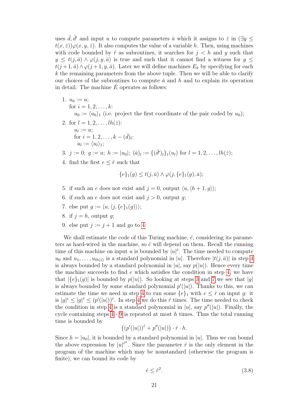uses  $\bar{d}, \bar{d'}$  and input u to compute parameters  $\bar{a}$  which it assigns to  $\bar{z}$  in  $(\exists y \leq$  $t(x, \bar{z})\varphi(x, y, \bar{z})$ . It also computes the value of a variable h. Then, using machines with code bounded by  $\hat{r}$  as subroutines, it searches for  $j < h$  and y such that  $y \leq t(j,\bar{a}) \wedge \varphi(j, y, \bar{a})$  is true and such that it cannot find a witness for  $y \leq$  $t(j+1,\bar{a})\wedge\varphi(j+1,y,\bar{a})$ . Later we will define machines  $E_k$  by specifying for each  $k$  the remaining parameters from the above tuple. Then we will be able to clarify our choices of the subroutines to compute  $\bar{a}$  and h and to explain its operation in detail. The machine  $\hat{E}$  operates as follows:

- <span id="page-24-6"></span>1.  $u_0 := u;$ for  $i = 1, 2, ..., k$ :  $u_0 := \langle u_0 \rangle_1$  (i.e. project the first coordinate of the pair coded by  $u_0$ );
- <span id="page-24-7"></span>2. for  $l = 1, 2, ..., lh(\bar{z})$ :  $u_l := u;$ for  $i = 1, 2, ..., k - (\bar{d})_l$ :  $u_l := \langle u_l \rangle_1;$
- <span id="page-24-1"></span>3.  $j := 0; g := u; h := |u_0|; (\bar{a})_l := \{(\bar{d}')_l\}_1(u_l)$  for  $l = 1, 2, \ldots, lh(\bar{z});$
- <span id="page-24-0"></span>4. find the first  $e \leq \hat{r}$  such that

$$
\{e\}_1(g) \le t(j,\bar{a}) \wedge \varphi(j,\{e\}_1(g),\bar{a});
$$

- <span id="page-24-4"></span>5. if such an e does not exist and  $j = 0$ , output  $\langle u, h + 1, g \rangle$ ;
- 6. if such an e does not exist and  $j > 0$ , output q;
- <span id="page-24-2"></span>7. else put  $g := \langle u, \langle j, \{e\}_1(q) \rangle \rangle;$
- <span id="page-24-5"></span>8. if  $j = h$ , output g;
- <span id="page-24-3"></span>9. else put  $j := j + 1$  and go to [4](#page-24-0)

We shall estimate the code of this Turing machine,  $\hat{e}$ , considering its parameters as hard-wired in the machine, so  $\hat{e}$  will depend on them. Recall the running time of this machine on input u is bounded by  $|u|^{\hat{e}}$ . The time needed to compute  $u_0$  and  $u_1, \ldots, u_{lh(\bar{z})}$  is a standard polynomial in |u|. Therefore  $|t(j,\bar{a})|$  in step [4](#page-24-0) is always bounded by a standard polynomial in  $|u|$ , say  $p(|u|)$ . Hence every time the machine succeeds to find  $e$  which satisfies the condition in step [4,](#page-24-0) we have that  $|\{e\}_1(g)|$  is bounded by  $p(|u|)$ . So looking at steps [3](#page-24-1) and [7](#page-24-2) we see that |g| is always bounded by some standard polynomial  $p'(|u|)$ . Thanks to this, we can estimate the time we need in step [4](#page-24-0) to run some  ${e}_1$  with  $e \leq \hat{r}$  on input g: it is  $|g|^e \leq |g|^{\hat{r}} \leq (p'(|u|))^{\hat{r}}$ . In step [4](#page-24-0) we do this  $\hat{r}$  times. The time needed to check the condition in step [4](#page-24-0) is a standard polynomial in |u|, say  $p''(|u|)$ . Finally, the cyclecontaining steps  $4 - 9$  $4 - 9$  is repeated at most h times. Thus the total running time is bounded by

$$
((p'(|u|))^{\hat{r}}+p''(|u|))\cdot\hat{r}\cdot h.
$$

Since  $h = |u_0|$ , it is bounded by a standard polynomial in |u|. Thus we can bound the above expression by  $|u|^{r^2}$ . Since the parameter  $\hat{r}$  is the only element in the program of the machine which may be nonstandard (otherwise the program is finite), we can bound its code by

<span id="page-24-8"></span>
$$
\hat{e} \le \hat{r}^2. \tag{3.8}
$$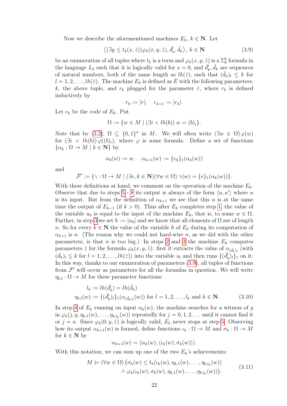Now we describe the aforementioned machines  $E_k, k \in \mathbb{N}$ . Let

<span id="page-25-0"></span>
$$
\langle (\exists y \le t_k(x,\bar{z})) \varphi_k(x,y,\bar{z}), \bar{d}'_k, \bar{d}_k \rangle, \ k \in \mathbb{N} \tag{3.9}
$$

be an enumeration of all tuples where  $t_k$  is a term and  $\varphi_k(x, y, \bar{z})$  is a  $\Sigma_0^b$  formula in the language  $L_2$  such that it is logically valid for  $x = 0$ , and  $\overrightarrow{d}_k$ ,  $\overrightarrow{d}_k$  are sequences of natural numbers, both of the same length as  $lh(\bar{z})$ , such that  $(d_k)_l \leq k$  for  $l = 1, 2, \ldots, lh(\bar{z})$ . The machine  $E_k$  is defined as E with the following parameters: k, the above tuple, and  $r_k$  plugged for the parameter  $\hat{r}$ , where  $r_k$  is defined inductively by

$$
r_0 := |r|, \quad r_{k+1} := |r_k|.
$$

Let  $e_k$  be the code of  $E_k$ . Put

$$
\Omega := \{ w \in M \mid (\exists i < lh(b)) \ w = (b)_i \}.
$$

Note that by  $(3.2)$ ,  $\Omega \subseteq \{0,1\}^n$  in M. We will often write  $(\exists w \in \Omega) \varphi(w)$ for  $(\exists i \langle h(b) \rangle \varphi((b)_i))$ , where  $\varphi$  is some formula. Define a set of functions  $\{\alpha_k : \Omega \to M \mid k \in \mathbb{N}\}\$ by

$$
\alpha_0(w) := w, \quad \alpha_{k+1}(w) := \{e_k\}_1(\alpha_k(w))
$$

and

$$
\mathcal{F}' := \{ \gamma : \Omega \to M \mid (\exists e, k \in \mathbf{N}) (\forall w \in \Omega) \ \gamma(w) = \{e\}_1(\alpha_k(w)) \}.
$$

With these definitions at hand, we comment on the operation of the machine  $E_k$ . Observe that due to steps [5](#page-24-4)- [8](#page-24-5) its output is always of the form  $\langle u, u' \rangle$  where u is its input. But from the definition of  $\alpha_{k+1}$  we see that this u is at the same time the output of  $E_{k-1}$  (if  $k > 0$ ). Thus after  $E_k$  completes step [1,](#page-24-6) the value of the variable  $u_0$  is equal to the input of the machine  $E_0$ , that is, to some  $w \in \Omega$ . Further, in step [3](#page-24-1) we set  $h := |u_0|$  and we know that all elements of  $\Omega$  are of length n. So for every  $k \in \mathbb{N}$  the value of the variable h of  $E_k$  during its computation of  $\alpha_{k+1}$  is n. (The reason why we could not hard-wire n, as we did with the other parameters, is that n is too big.) In steps [2](#page-24-7) and [3](#page-24-1) the machine  $E_k$  computes parameters  $\bar{z}$  for the formula  $\varphi_k(x, y, \bar{z})$ : first it extracts the value of  $\alpha_{(\bar{d}_k)_l}$  (with  $(\bar{d}_k)_l \leq k$  for  $l = 1, 2, \ldots, lh(\bar{z})$  into the variable  $u_l$  and then runs  $\{(\bar{d}'_k)_l\}_1$  on it. In this way, thanks to our enumeration of parameters [\(3.9\)](#page-25-0), all tuples of functions from  $\mathcal{F}'$  will occur as parameters for all the formulas in question. We will write  $\eta_{k,l} : \Omega \to M$  for these parameter functions:

$$
l_k := lh(\bar{d}'_k) = lh(\bar{d}_k)
$$
  

$$
\eta_{k,l}(w) := \{ (\bar{d}'_k)_l \}_{1} (\alpha_{(\bar{d}_k)_l}(w)) \text{ for } l = 1, 2, ..., l_k \text{ and } k \in \mathbb{N}.
$$
 (3.10)

In step [4](#page-24-0) of  $E_k$  running on input  $\alpha_k(w)$ , the machine searches for a witness of y in  $\varphi_k(j, y, \eta_{k,1}(w), \ldots, \eta_{k,l_k}(w))$  repeatedly for  $j = 0, 1, 2, \ldots$  until it cannot find it or  $j = n$ . Since  $\varphi_k(0, y, \bar{z})$  is logically valid,  $E_k$  never stops at step [5.](#page-24-4) Observing how its output  $\alpha_{k+1}(w)$  is formed, define functions  $\iota_k : \Omega \to M$  and  $\sigma_k : \Omega \to M$ for  $k \in \mathbb{N}$  by

<span id="page-25-1"></span>
$$
\alpha_{k+1}(w) = \langle \alpha_k(w), \langle \iota_k(w), \sigma_k(w) \rangle \rangle.
$$

<span id="page-25-2"></span>With this notation, we can sum up one of the two  $E_k$ 's achievements:

$$
M \models (\forall w \in \Omega) \left( \sigma_k(w) \le t_k(\iota_k(w), \eta_{k,1}(w), \dots, \eta_{k,l_k}(w)) \right. \\ \left. \qquad \qquad \land \varphi_k(\iota_k(w), \sigma_k(w), \eta_{k,1}(w), \dots, \eta_{k,l_k}(w)) \right). \tag{3.11}
$$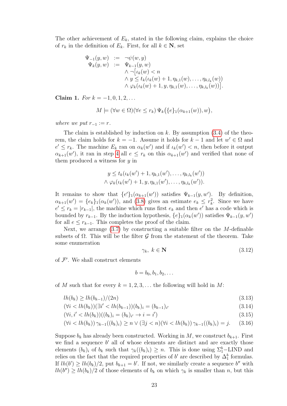The other achievement of  $E_k$ , stated in the following claim, explains the choice of  $r_k$  in the definition of  $E_k$ . First, for all  $k \in \mathbb{N}$ , set

<span id="page-26-2"></span>
$$
\Psi_{-1}(y, w) := \neg \psi(w, y) \n\Psi_k(y, w) := \Psi_{k-1}(y, w) \n\wedge \neg [\iota_k(w) < n \n\wedge y \le t_k(\iota_k(w) + 1, \eta_{k,1}(w), \dots, \eta_{k,l_k}(w)) \n\wedge \varphi_k(\iota_k(w) + 1, y, \eta_{k,1}(w), \dots, \eta_{k,l_k}(w)) \big].
$$

<span id="page-26-3"></span>Claim 1. For  $k = -1, 0, 1, 2, \ldots$ 

$$
M \models (\forall w \in \Omega)(\forall e \leq r_k) \Psi_k(\{e\}_1(\alpha_{k+1}(w)), w),
$$

where we put  $r_{-1} := r$ .

The claim is established by induction on  $k$ . By assumption  $(3.4)$  of the theorem, the claim holds for  $k = -1$ . Assume it holds for  $k - 1$  and let  $w' \in \Omega$  and  $e' \leq r_k$ . The machine  $E_k$  ran on  $\alpha_k(w')$  and if  $\iota_k(w') < n$ , then before it output  $\alpha_{k+1}(w')$ , it ran in step [4](#page-24-0) all  $e \leq r_k$  on this  $\alpha_{k+1}(w')$  and verified that none of them produced a witness for  $y$  in

$$
y \leq t_k(\iota_k(w') + 1, \eta_{k,1}(w'), \dots, \eta_{k,l_k}(w')) \land \varphi_k(\iota_k(w') + 1, y, \eta_{k,1}(w'), \dots, \eta_{k,l_k}(w')).
$$

It remains to show that  $\{e'\}_1(\alpha_{k+1}(w'))$  satisfies  $\Psi_{k-1}(y, w')$ . By definition,  $\alpha_{k+1}(w') = \{e_k\}_1(\alpha_k(w'))$ , and [\(3.8\)](#page-24-8) gives an estimate  $e_k \leq r_k^2$ . Since we have  $e' \leq r_k = |r_{k-1}|$ , the machine which runs first  $e_k$  and then  $e'$  has a code which is bounded by  $r_{k-1}$ . By the induction hypothesis,  $\{e\}_1(\alpha_k(w'))$  satisfies  $\Psi_{k-1}(y, w')$ for all  $e \leq r_{k-1}$ . This completes the proof of the claim.

Next, we arrange  $(3.7)$  by constructing a suitable filter on the M-definable subsets of  $\Omega$ . This will be the filter G from the statement of the theorem. Take some enumeration

$$
\gamma_k, \ k \in \mathbb{N} \tag{3.12}
$$

of  $\mathcal{F}'$ . We shall construct elements

<span id="page-26-1"></span><span id="page-26-0"></span>
$$
b=b_0,b_1,b_2,\ldots
$$

of M such that for every  $k = 1, 2, 3, \ldots$  the following will hold in M:

$$
lh(b_k) \geq lh(b_{k-1})/(2n) \tag{3.13}
$$

$$
(\forall i < lh(b_k))(\exists i' < lh(b_{k-1}))(b_k)_i = (b_{k-1})_{i'}
$$
\n(3.14)

$$
(\forall i, i' < lh(b_k))((b_k)_i = (b_k)_{i'} \to i = i')
$$
\n(3.15)

$$
(\forall i < lh(b_k)) \gamma_{k-1}((b_k)_i) \ge n \vee (\exists j < n)(\forall i < lh(b_k)) \gamma_{k-1}((b_k)_i) = j. \tag{3.16}
$$

Suppose  $b_k$  has already been constructed. Working in M, we construct  $b_{k+1}$ . First we find a sequence  $b'$  all of whose elements are distinct and are exactly those elements  $(b_k)_i$  of  $b_k$  such that  $\gamma_k((b_k)_i) \geq n$ . This is done using  $\Sigma_1^b$ -LIND and relies on the fact that the required properties of  $b'$  are described by  $\Delta_1^b$  formulas. If  $lh(b')\geq lh(b_k)/2$ , put  $b_{k+1}=b'$ . If not, we similarly create a sequence b'' with  $lh(b'')\geq lh(b_k)/2$  of those elements of  $b_k$  on which  $\gamma_k$  is smaller than n, but this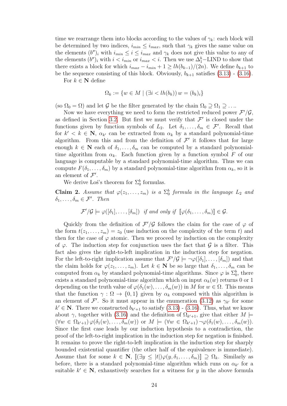time we rearrange them into blocks according to the values of  $\gamma_k$ : each block will be determined by two indices,  $i_{min} \leq i_{max}$ , such that  $\gamma_k$  gives the same value on the elements  $(b'')_i$  with  $i_{min} \leq i \leq i_{max}$  and  $\gamma_k$  does not give this value to any of the elements  $(b'')_i$  with  $i < i_{min}$  or  $i_{max} < i$ . Then we use  $\Delta_1^b$ -LIND to show that there exists a block for which  $i_{max} - i_{min} + 1 \geq lh(b_{k-1})/(2n)$ . We define  $b_{k+1}$  to be the sequence consisting of this block. Obviously,  $b_{k+1}$  satisfies  $(3.13)$  -  $(3.16)$ .

For  $k \in \mathbb{N}$  define

$$
\Omega_k := \{ w \in M \mid (\exists i < lh(b_k)) w = (b_k)_i \}
$$

(so  $\Omega_0 = \Omega$ ) and let G be the filter generated by the chain  $\Omega_0 \supseteq \Omega_1 \supseteq \ldots$ 

Now we have everything we need to form the restricted reduced power  $\mathcal{F}'/\mathcal{G}$ , as defined in Section [3.2.](#page-21-0) But first we must verify that  $\mathcal{F}'$  is closed under the functions given by function symbols of  $L_2$ . Let  $\delta_1, \ldots, \delta_m \in \mathcal{F}'$ . Recall that for  $k' < k \in \mathbb{N}$ ,  $\alpha_{k'}$  can be extracted from  $\alpha_k$  by a standard polynomial-time algorithm. From this and from the definition of  $\mathcal{F}'$  it follows that for large enough  $k \in \mathbb{N}$  each of  $\delta_1, \ldots, \delta_m$  can be computed by a standard polynomialtime algorithm from  $\alpha_k$ . Each function given by a function symbol F of our language is computable by a standard polynomial-time algorithm. Thus we can compute  $F(\delta_1,\ldots,\delta_m)$  by a standard polynomial-time algorithm from  $\alpha_k$ , so it is an element of  $\mathcal{F}'$ .

We derive Los's theorem for  $\Sigma_0^b$  formulas.

<span id="page-27-0"></span>**Claim 2.** Assume that  $\varphi(z_1,\ldots,z_m)$  is a  $\Sigma_0^b$  formula in the language  $L_2$  and  $\delta_1, \ldots, \delta_m \in \mathcal{F}'$ . Then

$$
\mathcal{F}'/\mathcal{G} \models \varphi([\delta_1], \ldots, [\delta_m]) \text{ if and only if } [\varphi(\delta_1, \ldots, \delta_m)] \in \mathcal{G}.
$$

Quickly from the definition of  $\mathcal{F}'/\mathcal{G}$  follows the claim for the case of  $\varphi$  of the form  $t(z_1, \ldots, z_m) = z_0$  (use induction on the complexity of the term t) and then for the case of  $\varphi$  atomic. Then we proceed by induction on the complexity of  $\varphi$ . The induction step for conjunction uses the fact that  $\mathcal G$  is a filter. This fact also gives the right-to-left implication in the induction step for negation. For the left-to-right implication assume that  $\mathcal{F}'/\mathcal{G} \models \neg \varphi([\delta_1], \dots, [\delta_m])$  and that the claim holds for  $\varphi(z_1,\ldots,z_m)$ . Let  $k \in \mathbf{N}$  be so large that  $\delta_1,\ldots,\delta_m$  can be computed from  $\alpha_k$  by standard polynomial-time algorithms. Since  $\varphi$  is  $\Sigma_0^b$ , there exists a standard polynomial-time algorithm which on input  $\alpha_k(w)$  returns 0 or 1 depending on the truth value of  $\varphi(\delta_1(w), \ldots, \delta_m(w))$  in M for  $w \in \Omega$ . This means that the function  $\gamma : \Omega \to \{0,1\}$  given by  $\alpha_k$  composed with this algorithm is an element of  $\mathcal{F}'$ . So it must appear in the enumeration [\(3.12\)](#page-26-2) as  $\gamma_{k'}$  for some  $k' \in \mathbb{N}$ . There we constructed  $b_{k'+1}$  to satisfy  $(3.13)$  -  $(3.16)$ . Thus, what we know about  $\gamma$ , together with [\(3.16\)](#page-26-1) and the definition of  $\Omega_{k'+1}$ , give that either  $M \models$  $(\forall w \in \Omega_{k'+1}) \varphi(\delta_1(w), \ldots, \delta_m(w))$  or  $M \models (\forall w \in \Omega_{k'+1}) \neg \varphi(\delta_1(w), \ldots, \delta_m(w)).$ Since the first case leads by our induction hypothesis to a contradiction, the proof of the left-to-right implication in the induction step for negation is finished. It remains to prove the right-to-left implication in the induction step for sharply bounded existential quantifier (the other half of the equivalence is immediate). Assume that for some  $k \in \mathbb{N}$ ,  $[(\exists y \leq |t|) \varphi(y, \delta_1, \ldots, \delta_m)] \supseteq \Omega_k$ . Similarly as before, there is a standard polynomial-time algorithm which runs on  $\alpha_{k'}$  for a suitable  $k' \in \mathbb{N}$ , exhaustively searches for a witness for y in the above formula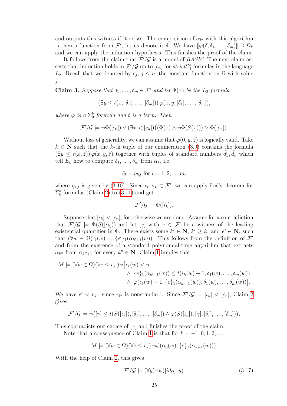and outputs this witness if it exists. The composition of  $\alpha_{k'}$  with this algorithm is then a function from  $\mathcal{F}'$ , let us denote it  $\delta$ . We have  $[\![\varphi(\delta,\delta_1,\ldots,\delta_m)]\!] \supseteq \Omega_k$ and we can apply the induction hypothesis. This finishes the proof of the claim.

It follows from the claim that  $\mathcal{F}'/\mathcal{G}$  is a model of BASIC. The next claim asserts that induction holds in  $\mathcal{F}'/\mathcal{G}$  up to  $[c_n]$  for  $strict \Sigma_1^b$  formulas in the language L<sub>2</sub>. Recall that we denoted by  $c_j$ ,  $j \leq n$ , the constant function on  $\Omega$  with value  $j$ .

<span id="page-28-0"></span>**Claim 3.** Suppose that  $\delta_1, \ldots, \delta_m \in \mathcal{F}'$  and let  $\Phi(x)$  be the L<sub>2</sub>-formula

$$
(\exists y \leq t(x, [\delta_1], \ldots, [\delta_m])) \varphi(x, y, [\delta_1], \ldots, [\delta_m]),
$$

where  $\varphi$  is a  $\Sigma_0^b$  formula and t is a term. Then

$$
\mathcal{F}'/\mathcal{G} \models \neg \Phi([c_0]) \vee (\exists x < [c_n]) \big((\Phi(x) \wedge \neg \Phi(S(x))) \vee \Phi([c_n]).
$$

Without loss of generality, we can assume that  $\varphi(0, y, \bar{z})$  is logically valid. Take  $k \in \mathbb{N}$  such that the k-th tuple of our enumeration [\(3.9\)](#page-25-0) contains the formula  $(\exists y \leq t(x, \bar{z})) \varphi(x, y, \bar{z})$  together with tuples of standard numbers  $\bar{d}_k$ ,  $\bar{d}_k$  which tell  $E_k$  how to compute  $\delta_1, \ldots, \delta_m$  from  $\alpha_k$ , i.e.

$$
\delta_l = \eta_{k,l} \text{ for } l = 1, 2, \dots m,
$$

where  $\eta_{k,l}$  is given by [\(3.10\)](#page-25-1). Since  $\iota_k, \sigma_k \in \mathcal{F}'$ , we can apply Los's theorem for  $\Sigma_0^b$  formulas (Claim [2\)](#page-27-0) to [\(3.11\)](#page-25-2) and get

$$
\mathcal{F}'/\mathcal{G} \models \Phi([\iota_k]).
$$

Suppose that  $[\iota_k] < [c_n]$ , for otherwise we are done. Assume for a contradiction that  $\mathcal{F}'/\mathcal{G} \models \Phi(S([\iota_k]))$  and let  $[\gamma]$  with  $\gamma \in \mathcal{F}'$  be a witness of the leading existential quantifier in  $\Phi$ . There exists some  $k' \in \mathbb{N}$ ,  $k' \geq k$ , and  $e' \in \mathbb{N}$ , such that  $(\forall w \in \Omega) \gamma(w) = \{e'\}_1(\alpha_{k'+1}(w))$ . This follows from the definition of F and from the existence of a standard polynomial-time algorithm that extracts  $\alpha_{k''}$  from  $\alpha_{k''+1}$  for every  $k'' \in \mathbb{N}$ . Claim [1](#page-26-3) implies that

$$
M \models (\forall w \in \Omega)(\forall e \leq r_{k'}) \neg \big[ \iota_k(w) < n \land \{e\}_1(\alpha_{k'+1}(w)) \leq t(\iota_k(w) + 1, \delta_1(w), \dots, \delta_m(w)) \land \varphi(\iota_k(w) + 1, \{e\}_1(\alpha_{k'+1}(w)), \delta_1(w), \dots, \delta_m(w)) \big].
$$

We have  $e' < r_{k'}$ , since  $r_{k'}$  is nonstandard. Since  $\mathcal{F}'/\mathcal{G} \models [\iota_k] < [c_n]$ , Claim [2](#page-27-0) gives

$$
\mathcal{F}'/\mathcal{G} \models \neg((\gamma) \leq t(S([\iota_k]), [\delta_1], \ldots, [\delta_m]) \land \varphi(S([\iota_k]), [\gamma], [\delta_1], \ldots, [\delta_m]))
$$

This contradicts our choice of  $[\gamma]$  and finishes the proof of the claim.

Note that a consequence of Claim [1](#page-26-3) is that for  $k = -1, 0, 1, 2, \ldots$ 

$$
M \models (\forall w \in \Omega)(\forall e \leq r_k) \neg \psi(\alpha_0(w), \{e\}_1(\alpha_{k+1}(w))).
$$

With the help of Claim [2,](#page-27-0) this gives

<span id="page-28-1"></span>
$$
\mathcal{F}'/\mathcal{G} \models (\forall y) \neg \psi([id_{\Omega}], y). \tag{3.17}
$$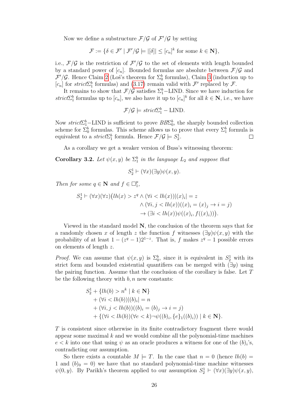Now we define a substructure  $\mathcal{F}/\mathcal{G}$  of  $\mathcal{F}'/\mathcal{G}$  by setting

$$
\mathcal{F} := \{ \delta \in \mathcal{F}' \mid \mathcal{F}'/\mathcal{G} \models |[\delta]| \le [c_n]^k \text{ for some } k \in \mathbf{N} \},\
$$

i.e.,  $\mathcal{F}/\mathcal{G}$  is the restriction of  $\mathcal{F}'/\mathcal{G}$  to the set of elements with length bounded by a standard power of  $[c_n]$ . Bounded formulas are absolute between  $\mathcal{F}/\mathcal{G}$  and  $\mathcal{F}'/\mathcal{G}$ . Hence Claim [2](#page-27-0) (Los's theorem for  $\Sigma_0^b$  formulas), Claim [3](#page-28-0) (induction up to [c<sub>n</sub>] for strict  $\Sigma_1^b$  formulas) and [\(3.17\)](#page-28-1) remain valid with  $\mathcal{F}'$  replaced by  $\mathcal{F}$ .

It remains to show that  $\mathcal{F}/\mathcal{G}$  satisfies  $\Sigma_1^b$ -LIND. Since we have induction for strict $\Sigma_1^b$  formulas up to  $[c_n]$ , we also have it up to  $[c_n]^k$  for all  $k \in \mathbb{N}$ , i.e., we have

$$
\mathcal{F}/\mathcal{G} \models strict\Sigma_1^b - \text{LIND}.
$$

Now  $strict \Sigma_1^b$ -LIND is sufficient to prove  $BB \Sigma_0^b$ , the sharply bounded collection scheme for  $\Sigma_0^b$  formulas. This scheme allows us to prove that every  $\Sigma_1^b$  formula is equivalent to a  $strict\Sigma_1^b$  formula. Hence  $\mathcal{F}/\mathcal{G} \models S_2^1$ .

As a corollary we get a weaker version of Buss's witnessing theorem:

<span id="page-29-0"></span>**Corollary 3.2.** Let  $\psi(x, y)$  be  $\Sigma_1^b$  in the language  $L_2$  and suppose that

$$
S_2^1 \vdash (\forall x)(\exists y)\psi(x,y).
$$

Then for some  $q \in \mathbb{N}$  and  $f \in \Box_1^p$  $_{1}^{p}$ 

$$
S_2^1 \vdash (\forall x)(\forall z)(lh(x) > z^q \land (\forall i < lh(x))|(x)_i| = z
$$
  
 
$$
\land (\forall i, j < lh(x))((x)_i = (x)_j \to i = j)
$$
  
 
$$
\rightarrow (\exists i < lh(x))\psi((x)_i, f((x)_i))).
$$

Viewed in the standard model N, the conclusion of the theorem says that for a randomly chosen x of length z the function f witnesses  $(\exists y)\psi(x, y)$  with the probability of at least  $1 - (z^q - 1)2^{1-z}$ . That is, f makes  $z^q - 1$  possible errors on elements of length z.

*Proof.* We can assume that  $\psi(x, y)$  is  $\Sigma_0^b$ , since it is equivalent in  $S_2^1$  with its strict form and bounded existential quantifiers can be merged with  $(\exists y)$  using the pairing function. Assume that the conclusion of the corollary is false. Let  $T$ be the following theory with  $b, n$  new constants:

$$
S_2^1 + \{lh(b) > n^k \mid k \in \mathbf{N}\}+ (\forall i < lh(b)) | (b)_i | = n+ (\forall i, j < lh(b)) ((b)_i = (b)_j \rightarrow i = j)+ \{ (\forall i < lh(b)) (\forall e < k) \neg \psi((b)_i, \{e\}_1((b)_i)) \mid k \in \mathbf{N}\}.
$$

T is consistent since otherwise in its finite contradictory fragment there would appear some maximal  $k$  and we would combine all the polynomial-time machines  $e < k$  into one that using  $\psi$  as an oracle produces a witness for one of the  $(b)_i$ 's, contradicting our assumption.

So there exists a countable  $M \models T$ . In the case that  $n = 0$  (hence  $lh(b) =$ 1 and  $(b)_0 = 0$ ) we have that no standard polynomial-time machine witnesses  $\psi(0, y)$ . By Parikh's theorem applied to our assumption  $S_2^1 \vdash (\forall x)(\exists y)\psi(x, y)$ ,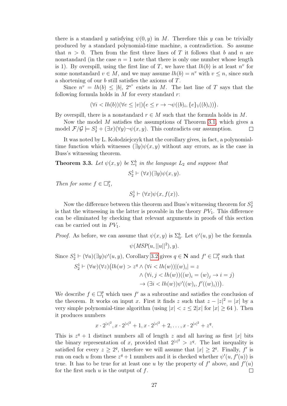there is a standard y satisfying  $\psi(0, y)$  in M. Therefore this y can be trivially produced by a standard polynomial-time machine, a contradiction. So assume that  $n > 0$ . Then from the first three lines of T it follows that b and n are nonstandard (in the case  $n = 1$  note that there is only one number whose length is 1). By overspill, using the first line of T, we have that  $lh(b)$  is at least  $n^v$  for some nonstandard  $v \in M$ , and we may assume  $lh(b) = n^v$  with  $v \leq n$ , since such a shortening of our b still satisfies the axioms of T.

Since  $n^v = lh(b) \leq |b|$ ,  $2^{n^v}$  exists in M. The last line of T says that the following formula holds in  $M$  for every standard  $r$ :

$$
(\forall i < lh(b))(\forall e \leq |v|) \big(e \leq r \to \neg \psi((b)_i, \{e\}_1((b)_i))\big).
$$

By overspill, there is a nonstandard  $r \in M$  such that the formula holds in M.

Now the model M satisfies the assumptions of Theorem [3.1,](#page-23-1) which gives a model  $\mathcal{F}/\mathcal{G} \models S_2^1 + (\exists x)(\forall y)\neg\psi(x, y)$ . This contradicts our assumption.  $\Box$ 

It was noted by L. Kołodziejczyk that the corollary gives, in fact, a polynomialtime function which witnesses  $(\exists y)\psi(x, y)$  without any errors, as is the case in Buss's witnessing theorem.

**Theorem 3.3.** Let  $\psi(x, y)$  be  $\Sigma_1^b$  in the language  $L_2$  and suppose that

$$
S_2^1 \vdash (\forall x)(\exists y)\psi(x,y).
$$

Then for some  $f \in \Box_1^p$  $_{1}^{p},$ 

$$
S_2^1 \vdash (\forall x)\psi(x,f(x)).
$$

Now the difference between this theorem and Buss's witnessing theorem for  $S_2^1$ is that the witnessing in the latter is provable in the theory  $PV_1$ . This difference can be eliminated by checking that relevant arguments in proofs of this section can be carried out in  $PV_1$ .

*Proof.* As before, we can assume that  $\psi(x, y)$  is  $\Sigma_0^b$ . Let  $\psi'(u, y)$  be the formula

$$
\psi(MSP(u,||u||^2),y).
$$

Since  $S_2^1 \vdash (\forall u)(\exists y)\psi'(u, y)$ , Corollary [3.2](#page-29-0) gives  $q \in \mathbb{N}$  and  $f' \in \Box_1^p$  $_1^p$  such that

$$
S_2^1 \vdash (\forall w)(\forall z)(lh(w) > z^q \land (\forall i < lh(w))|(w)_i| = z
$$
  
 
$$
\land (\forall i, j < lh(w))((w)_i = (w)_j \to i = j)
$$
  
 
$$
\rightarrow (\exists i < lh(w))\psi'((w)_i, f'((w)_i))).
$$

We describe  $f \in \Box_1^p$  which uses  $f'$  as a subroutine and satisfies the conclusion of the theorem. It works on input x. First it finds z such that  $z - |z|^2 = |x|$  by a very simple polynomial-time algorithm (using  $|x| < z \le 2|x|$  for  $|x| \ge 64$ ). Then it produces numbers

$$
x \cdot 2^{|z|^2}, x \cdot 2^{|z|^2} + 1, x \cdot 2^{|z|^2} + 2, \ldots, x \cdot 2^{|z|^2} + z^q.
$$

This is  $z^q + 1$  distinct numbers all of length z and all having as first |x| bits the binary representation of x, provided that  $2^{|z|^2} > z^q$ . The last inequality is satisfied for every  $z \geq 2^q$ , therefore we will assume that  $|x| \geq 2^q$ . Finally, f' is run on each u from these  $z^q + 1$  numbers and it is checked whether  $\psi'(u, f'(u))$  is true. It has to be true for at least one u by the property of  $f'$  above, and  $f'(u)$ for the first such  $u$  is the output of  $f$ .  $\Box$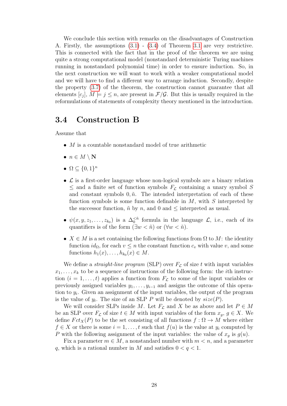We conclude this section with remarks on the disadvantages of Construction A. Firstly, the assumptions [\(3.1\)](#page-23-5) - [\(3.4\)](#page-23-3) of Theorem [3.1](#page-23-1) are very restrictive. This is connected with the fact that in the proof of the theorem we are using quite a strong computational model (nonstandard deterministic Turing machines running in nonstandard polynomial time) in order to ensure induction. So, in the next construction we will want to work with a weaker computational model and we will have to find a different way to arrange induction. Secondly, despite the property [\(3.7\)](#page-23-4) of the theorem, the construction cannot guarantee that all elements  $[c_j]$ ,  $M \models j \leq n$ , are present in  $\mathcal{F}/\mathcal{G}$ . But this is usually required in the reformulations of statements of complexity theory mentioned in the introduction.

### <span id="page-31-0"></span>3.4 Construction B

Assume that

- $\bullet$  *M* is a countable nonstandard model of true arithmetic
- $n \in M \setminus \mathbf{N}$
- $\Omega \subseteq \{0,1\}^n$
- $\bullet$   $\mathcal L$  is a first-order language whose non-logical symbols are a binary relation  $\leq$  and a finite set of function symbols  $F_{\mathcal{L}}$  containing a unary symbol S and constant symbols  $0, \tilde{n}$ . The intended interpretation of each of these function symbols is some function definable in  $M$ , with  $S$  interpreted by the successor function,  $\tilde{n}$  by n, and 0 and  $\leq$  interpreted as usual.
- $\psi(x, y, z_1, \ldots, z_{k_0})$  is a  $\Delta_0^{<\tilde{n}}$  formula in the language  $\mathcal{L}$ , i.e., each of its quantifiers is of the form  $(\exists w < \tilde{n})$  or  $(\forall w < \tilde{n})$ .
- $X \in M$  is a set containing the following functions from  $\Omega$  to  $M$ : the identity function  $id_{\Omega}$ , for each  $v \leq n$  the constant function  $c_v$  with value v, and some functions  $h_1(x), \ldots, h_{k_0}(x) \in M$ .

We define a *straight-line program* (SLP) over  $F<sub>L</sub>$  of size t with input variables  $x_1, \ldots, x_k$  to be a sequence of instructions of the following form: the *i*th instruction  $(i = 1, \ldots, t)$  applies a function from  $F_{\mathcal{L}}$  to some of the input variables or previously assigned variables  $y_1, \ldots, y_{i-1}$  and assigns the outcome of this operation to  $y_i$ . Given an assignment of the input variables, the output of the program is the value of  $y_t$ . The size of an SLP P will be denoted by  $size(P)$ .

We will consider SLPs inside M. Let  $F_{\mathcal{L}}$  and X be as above and let  $P \in M$ be an SLP over  $F_{\mathcal{L}}$  of size  $t \in M$  with input variables of the form  $x_q, g \in X$ . We define  $Fct_X(P)$  to be the set consisting of all functions  $f: \Omega \to M$  where either  $f \in X$  or there is some  $i = 1, \ldots, t$  such that  $f(u)$  is the value at  $y_i$  computed by P with the following assignment of the input variables: the value of  $x_q$  is  $g(u)$ .

Fix a parameter  $m \in M$ , a nonstandard number with  $m < n$ , and a parameter q, which is a rational number in M and satisfies  $0 < q < 1$ .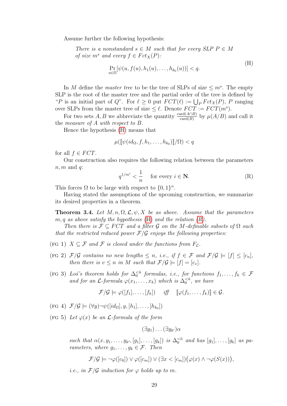Assume further the following hypothesis:

There is a nonstandard  $s \in M$  such that for every SLP  $P \in M$ of size  $m^s$  and every  $f \in Fct_X(P)$ :

$$
\Pr_{u \in \Omega} [\psi(u, f(u), h_1(u), \dots, h_{k_0}(u))] < q. \tag{11}
$$

<span id="page-32-2"></span><span id="page-32-1"></span> $(H)$ 

In M define the master tree to be the tree of SLPs of size  $\leq m^s$ . The empty SLP is the root of the master tree and the partial order of the tree is defined by "P is an initial part of Q". For  $\ell \geq 0$  put  $FCT(\ell) := \bigcup_{P} Fct_{X}(P)$ , P ranging over SLPs from the master tree of size  $\leq \ell$ . Denote  $FCT := FCT(m^s)$ .

For two sets A, B we abbreviate the quantity  $\frac{\text{card}(A \cap B)}{\text{card}(B)}$  by  $\mu(A/B)$  and call it the measure of A with respect to B.

Hence the hypothesis [\(H\)](#page-32-1) means that

$$
\mu([\![\psi(id_\Omega, f, h_1, \ldots, h_{k_0})]\!]/\Omega) < q
$$

for all  $f \in FCT$ .

Our construction also requires the following relation between the parameters  $n, m$  and  $q$ :

$$
q^{1/m^i} < \frac{1}{n} \quad \text{for every } i \in \mathbb{N}.\tag{R}
$$

This forces  $\Omega$  to be large with respect to  $\{0,1\}^n$ .

Having stated the assumptions of the upcoming construction, we summarize its desired properties in a theorem.

<span id="page-32-0"></span>**Theorem 3.4.** Let  $M, n, \Omega, \mathcal{L}, \psi, X$  be as above. Assume that the parameters  $m, q$  as above satisfy the hypothesis [\(H\)](#page-32-1) and the relation  $(R)$ .

Then there is  $\mathcal{F} \subseteq FCT$  and a filter G on the M-definable subsets of  $\Omega$  such that the restricted reduced power  $\mathcal{F}/\mathcal{G}$  enjoys the following properties:

- <span id="page-32-6"></span>(FG 1)  $X \subseteq \mathcal{F}$  and  $\mathcal{F}$  is closed under the functions from  $F_{\mathcal{L}}$ .
- <span id="page-32-3"></span>(FG 2)  $\mathcal{F}/\mathcal{G}$  contains no new lengths  $\leq n$ , i.e., if  $f \in \mathcal{F}$  and  $\mathcal{F}/\mathcal{G} \models [f] \leq [c_n]$ , then there is  $v \leq n$  in M such that  $\mathcal{F}/\mathcal{G} \models [f] = [c_v].$
- <span id="page-32-4"></span>(FG 3) Los's theorem holds for  $\Delta_0^{<\tilde{n}}$  formulas, i.e., for functions  $f_1, \ldots, f_k \in \mathcal{F}$ and for an  $\mathcal{L}$ -formula  $\varphi(x_1,\ldots,x_k)$  which is  $\Delta_0^{<\tilde{n}}$ , we have

$$
\mathcal{F}/\mathcal{G} \models \varphi([f_1], \ldots, [f_k]) \quad \text{iff} \quad [\![\varphi(f_1, \ldots, f_k)]\!] \in \mathcal{G}.
$$

<span id="page-32-7"></span> $(\text{FG } 4) \ \mathcal{F}/\mathcal{G} \models (\forall y) \neg \psi([id_{\Omega}], y, [h_1], \dots, [h_{k_0}])$ 

<span id="page-32-5"></span>(FG 5) Let  $\varphi(x)$  be an *L*-formula of the form

$$
(\exists y_1)\dots(\exists y_{k'})\alpha
$$

such that  $\alpha(x, y_1, \ldots, y_{k'}, [g_1], \ldots, [g_k])$  is  $\Delta_0^{\leq \tilde{n}}$  and has  $[g_1], \ldots, [g_k]$  as parameters, where  $g_1, \ldots, g_k \in \mathcal{F}$ . Then

$$
\mathcal{F}/\mathcal{G} \models \neg \varphi([c_0]) \vee \varphi([c_m]) \vee (\exists x < [c_m]) (\varphi(x) \wedge \neg \varphi(S(x))),
$$

*i.e.*, in  $\mathcal{F}/\mathcal{G}$  induction for  $\varphi$  holds up to m.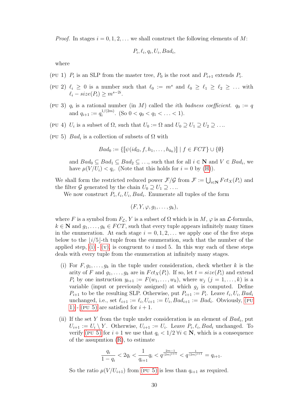*Proof.* In stages  $i = 0, 1, 2, \ldots$  we shall construct the following elements of M:

$$
P_i, \ell_i, q_i, U_i, Bad_i,
$$

<span id="page-33-1"></span>where

- (PU 1)  $P_i$  is an SLP from the master tree,  $P_0$  is the root and  $P_{i+1}$  extends  $P_i$ .
- (PU 2)  $\ell_i \geq 0$  is a number such that  $\ell_0 := m^s$  and  $\ell_0 \geq \ell_1 \geq \ell_2 \geq ...$  with  $\ell_i - size(P_i) \geq m^{s-2i}$ .
- (PU 3)  $q_i$  is a rational number (in M) called the *i*th *badness coefficient.*  $q_0 := q$ and  $q_{i+1} := q_i^{1/(2m)}$  $a_i^{(1/(2m))}$ . (So  $0 < q_0 < q_1 < \ldots < 1$ ).
- (PU 4)  $U_i$  is a subset of  $\Omega$ , such that  $U_0 := \Omega$  and  $U_0 \supseteq U_1 \supseteq U_2 \supseteq \ldots$
- <span id="page-33-2"></span>(PU 5)  $Bad_i$  is a collection of subsets of  $\Omega$  with

$$
Bad_0 := \{ [\![\psi(id_{\Omega}, f, h_1, \ldots, h_{k_0})]\!] \mid f \in FCT \} \cup \{ \emptyset \}
$$

and  $Bad_0 \subseteq Bad_1 \subseteq Bad_2 \subseteq \ldots$ , such that for all  $i \in \mathbb{N}$  and  $V \in Bad_i$ , we have  $\mu(V/U_i) < q_i$ . (Note that this holds for  $i = 0$  by [\(H\)](#page-32-1)).

We shall form the restricted reduced power  $\mathcal{F}/\mathcal{G}$  from  $\mathcal{F} := \bigcup_{i \in \mathbb{N}} Fct_X(P_i)$  and the filter G generated by the chain  $U_0 \supseteq U_1 \supseteq \ldots$ 

We now construct  $P_i, \ell_i, U_i, Bad_i$ . Enumerate all tuples of the form

$$
(F, Y, \varphi, g_1, \ldots, g_k),
$$

where F is a symbol from  $F_{\mathcal{L}}$ , Y is a subset of  $\Omega$  which is in  $M$ ,  $\varphi$  is an  $\mathcal{L}$ -formula,  $k \in \mathbb{N}$  and  $g_1, \ldots, g_k \in FCT$ , such that every tuple appears infinitely many times in the enumeration. At each stage  $i = 0, 1, 2, \ldots$  we apply one of the five steps below to the  $\lfloor i/5 \rfloor$ -th tuple from the enumeration, such that the number of the applied step, [\(i\)](#page-33-0)- [\(v\),](#page-34-0) is congruent to i mod 5. In this way each of these steps deals with every tuple from the enumeration at infinitely many stages.

- <span id="page-33-0"></span>(i) For  $F, g_1, \ldots, g_k$  in the tuple under consideration, check whether k is the arity of F and  $g_1, \ldots, g_k$  are in  $Fct_X(P_i)$ . If so, let  $t = size(P_i)$  and extend  $P_i$  by one instruction  $y_{t+1} := F(w_1, \ldots, w_k)$ , where  $w_j$   $(j = 1, \ldots, k)$  is a variable (input or previously assigned) at which  $g_j$  is computed. Define  $P_{i+1}$  to be the resulting SLP. Otherwise, put  $P_{i+1} := P_i$ . Leave  $\ell_i, U_i, Bad_i$ unchanged, i.e., set  $\ell_{i+1} := \ell_i, U_{i+1} := U_i$ ,  $Bad_{i+1} := Bad_i$ . Obviously, (PU [1\)](#page-33-1) - (PU 5) are satisfied for  $i + 1$ .
- <span id="page-33-3"></span>(ii) If the set Y from the tuple under consideration is an element of  $Bad_i$ , put  $U_{i+1} := U_i \setminus Y$ . Otherwise,  $U_{i+1} := U_i$ . Leave  $P_i, \ell_i, Bad_i$  unchanged. To verify (PU 5) for  $i+1$  we use that  $q_i < 1/2$   $\forall i \in \mathbb{N}$ , which is a consequence of the assupmtion [\(R\)](#page-32-2), to estimate

$$
\frac{q_i}{1-q_i} < 2q_i < \frac{1}{q_{i+1}}q_i < q^{\frac{2m-1}{(2m)^{i+1}}} < q^{\frac{1}{(2m)^{i+1}}} = q_{i+1}.
$$

So the ratio  $\mu(V/U_{i+1})$  from (PU 5) is less than  $q_{i+1}$  as required.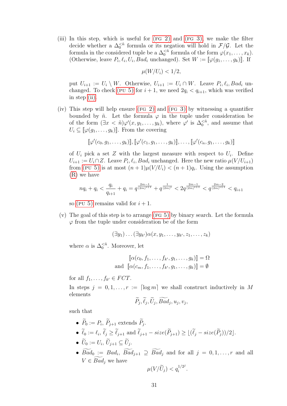<span id="page-34-1"></span>(iii) In this step, which is useful for  $(FG 2)$  and  $(FG 3)$ , we make the filter decide whether a  $\Delta_0^{<\tilde{n}}$  formula or its negation will hold in  $\mathcal{F}/\mathcal{G}$ . Let the formula in the considered tuple be a  $\Delta_0^{<\tilde{n}}$  formula of the form  $\varphi(x_1, \ldots, x_k)$ . (Otherwise, leave  $P_i, \ell_i, U_i, Bad_i$  unchanged). Set  $W := [\![\varphi(g_1, \ldots, g_k)]\!]$ . If

$$
\mu(W/U_i) < 1/2,
$$

put  $U_{i+1} := U_i \setminus W$ . Otherwise,  $U_{i+1} := U_i \cap W$ . Leave  $P_i, \ell_i, Bad_i$  unchanged. To check (PU 5) for  $i + 1$ , we need  $2q_i < q_{i+1}$ , which was verified in step [\(ii\).](#page-33-3)

<span id="page-34-2"></span>(iv) This step will help ensure ( $FG 2$ ) and ( $FG 3$ ) by witnessing a quantifier bounded by  $\tilde{n}$ . Let the formula  $\varphi$  in the tuple under consideration be of the form  $(\exists x \leq \tilde{n}) \varphi'(x, y_1, \ldots, y_k)$ , where  $\varphi'$  is  $\Delta_0^{<\tilde{n}}$ , and assume that  $U_i \subseteq [\![\varphi(g_1, \ldots, g_k)]\!]$ . From the covering

$$
\llbracket \varphi'(c_0,g_1,\ldots,g_k)\rrbracket, \llbracket \varphi'(c_1,g_1,\ldots,g_k)\rrbracket, \ldots, \llbracket \varphi'(c_n,g_1,\ldots,g_k)\rrbracket
$$

of  $U_i$  pick a set Z with the largest measure with respect to  $U_i$ . Define  $U_{i+1} := U_i \cap Z$ . Leave  $P_i, \ell_i, Bad_i$  unchanged. Here the new ratio  $\mu(V/U_{i+1})$ from (PU 5) is at most  $(n+1)\mu(V/U_i) < (n+1)q_i$ . Using the assumption [\(R\)](#page-32-2) we have

$$
nq_i + q_i < \frac{q_i}{q_{i+1}} + q_i = q^{\frac{2m-1}{(2m)^{i+1}}} + q^{\frac{1}{(2m)^i}} < 2q^{\frac{2m-1}{(2m)^{i+1}}} < q^{\frac{2m-2}{(2m)^{i+1}}} < q_{i+1}
$$

so (PU 5) remains valid for  $i + 1$ .

<span id="page-34-0"></span> $(v)$  The goal of this step is to arrange (FG 5) by binary search. Let the formula  $\varphi$  from the tuple under consideration be of the form

$$
(\exists y_1)\ldots(\exists y_{k'})\alpha(x,y_1,\ldots,y_{k'},z_1,\ldots,z_k)
$$

where  $\alpha$  is  $\Delta_0^{<\tilde{n}}$ . Moreover, let

$$
\llbracket \alpha(c_0, f_1, \dots, f_{k'}, g_1, \dots, g_k) \rrbracket = \Omega
$$
  
and 
$$
\llbracket \alpha(c_m, f_1, \dots, f_{k'}, g_1, \dots, g_k) \rrbracket = \emptyset
$$

for all  $f_1, \ldots, f_{k'} \in FCT$ .

In steps  $j = 0, 1, \ldots, r := \lceil \log m \rceil$  we shall construct inductively in M elements

$$
P_j, \ell_j, U_j, Bad_j, u_j, v_j,
$$

such that

- $P_0 := P_i$ ,  $P_{j+1}$  extends  $P_j$ . •  $\ell_0 := \ell_i, \, \ell_j \ge \ell_{j+1}$  and  $\ell_{j+1} - size(P_{j+1}) \ge \lfloor (\ell_j - size(P_j))/2 \rfloor$ .
- $U_0 := U_i, U_{j+1} \subseteq U_j.$
- $Bad_0 := Bad_i$ ,  $Bad_{j+1} \supseteq Bad_j$  and for all  $j = 0, 1, ..., r$  and all  $V \in Bad_i$  we have

$$
\mu(V/\widetilde{U}_j) < q_i^{1/2^j}.
$$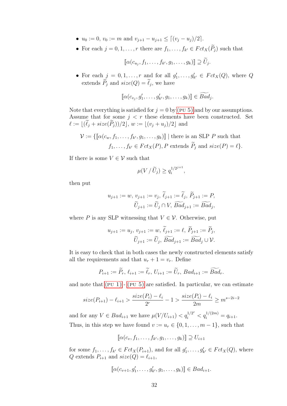- $u_0 := 0$ ,  $v_0 := m$  and  $v_{j+1} u_{j+1} \leq [(v_j u_j)/2]$ .
- For each  $j = 0, 1, \ldots, r$  there are  $f_1, \ldots, f_{k'} \in Fct_X(P_j)$  such that

$$
[\![\alpha(c_{u_j},f_1,\ldots,f_{k'},g_1,\ldots,g_k)]\!]\supseteq U_j.
$$

• For each  $j = 0, 1, \ldots, r$  and for all  $g'_1, \ldots, g'_{k'} \in Fct_X(Q)$ , where Q extends  $P_j$  and  $size(Q) = \ell_j$ , we have

$$
[\![\alpha(c_{v_j},g'_1,\ldots,g'_{k'},g_1,\ldots,g_k)]\!]\in \widetilde{Bad}_j.
$$

Note that everything is satisfied for  $j = 0$  by (PU 5) and by our assumptions. Assume that for some  $j < r$  these elements have been constructed. Set  $\ell := |(\widetilde{\ell}_i + size(\widetilde{P}_i))/2|, w := |(v_i + u_i)/2|$  and

$$
\mathcal{V} := \{ \llbracket \alpha(c_w, f_1, \dots, f_{k'}, g_1, \dots, g_k) \rrbracket \mid \text{there is an SLP } P \text{ such that } f_1, \dots, f_{k'} \in Fct_X(P), P \text{ extends } \widetilde{P}_j \text{ and } size(P) = \ell \}.
$$

If there is some  $V \in \mathcal{V}$  such that

$$
\mu(V/\widetilde{U}_j) \ge q_i^{1/2^{j+1}},
$$

then put

$$
u_{j+1} := w, v_{j+1} := v_j, \ \widetilde{\ell}_{j+1} := \widetilde{\ell}_j, \ \widetilde{P}_{j+1} := P,
$$

$$
\widetilde{U}_{j+1} := \widetilde{U}_j \cap V, \ \widetilde{Bad}_{j+1} := \widetilde{Bad}_j,
$$

where P is any SLP witnessing that  $V \in \mathcal{V}$ . Otherwise, put

$$
u_{j+1} := u_j, v_{j+1} := w, \ \widetilde{\ell}_{j+1} := \ell, \ \widetilde{P}_{j+1} := \widetilde{P}_j, \n\widetilde{U}_{j+1} := \widetilde{U}_j, \ \widetilde{Bad}_{j+1} := \widetilde{Bad}_j \cup \mathcal{V}.
$$

It is easy to check that in both cases the newly constructed elements satisfy all the requirements and that  $u_r + 1 = v_r$ . Define

$$
P_{i+1} := \widetilde{P}_r, \, \ell_{i+1} := \widetilde{\ell}_r, \, U_{i+1} := \widetilde{U}_r, \, Bad_{i+1} := \widetilde{Bad}_r.
$$

and note that  $(pu 1)$  $(pu 1)$  -  $(pu 5)$  $(pu 5)$  are satisfied. In particular, we can estimate

$$
size(P_{i+1}) - \ell_{i+1} > \frac{size(P_i) - \ell_i}{2^r} - 1 > \frac{size(P_i) - \ell_i}{2m} \ge m^{s-2i-2}
$$

and for any  $V \in Bad_{i+1}$  we have  $\mu(V/U_{i+1}) < q_i^{1/2^r} < q_i^{1/(2m)} = q_{i+1}$ . Thus, in this step we have found  $v := u_r \in \{0, 1, \ldots, m-1\}$ , such that

$$
\llbracket \alpha(c_v, f_1, \ldots, f_{k'}, g_1, \ldots, g_k) \rrbracket \supseteq U_{i+1}
$$

for some  $f_1, \ldots, f_{k'} \in Fct_X(P_{i+1}),$  and for all  $g'_1, \ldots, g'_{k'} \in Fct_X(Q)$ , where Q extends  $P_{i+1}$  and  $size(Q) = \ell_{i+1}$ ,

$$
[\![\alpha(c_{v+1}, g'_1, \ldots, g'_{k'}, g_1, \ldots, g_k)]\!] \in Bad_{i+1}.
$$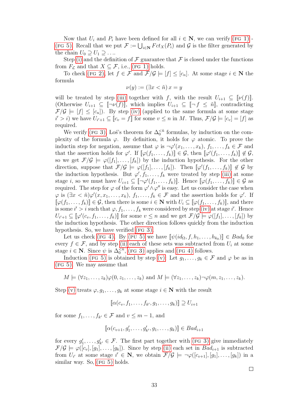Now that  $U_i$  and  $P_i$  have been defined for all  $i \in \mathbb{N}$ , we can verify (FG 1) -(FG 5). Recall that we put  $\mathcal{F} := \bigcup_{i \in \mathbb{N}} Fct_X(P_i)$  and  $\mathcal{G}$  is the filter generated by the chain  $U_0 \supseteq U_1 \supseteq \ldots$ 

Step [\(i\)](#page-33-0) and the definition of  $\mathcal F$  guarantee that  $\mathcal F$  is closed under the functions from  $F_{\mathcal{L}}$  and that  $X \subseteq \mathcal{F}$ , i.e., (FG 1) holds.

To check (FG 2), let  $f \in \mathcal{F}$  and  $\mathcal{F}/\mathcal{G} \models [f] \leq [c_n]$ . At some stage  $i \in \mathbb{N}$  the formula

$$
\nu(y) := (\exists x < \tilde{n}) \, x = y
$$

will be treated by step [\(iii\)](#page-34-1) together with f, with the result  $U_{i+1} \subseteq \llbracket \nu(f) \rrbracket$ . (Otherwise  $U_{i+1} \subseteq [\neg \nu(f)]$ , which implies  $U_{i+1} \subseteq [\neg f \leq \tilde{n}]$ , contradicting  $\mathcal{F}/\mathcal{G} \models [f] \leq [c_n]$ ). By step [\(iv\)](#page-34-2) (applied to the same formula at some stage  $i' > i$ ) we have  $U_{i'+1} \subseteq [c_v = f]$  for some  $v \leq n$  in M. Thus,  $\mathcal{F}/\mathcal{G} \models [c_v] = [f]$  as required.

We verify (FG 3), Los's theorem for  $\Delta_0^{<\tilde{n}}$  formulas, by induction on the complexity of the formula  $\varphi$ . By definition, it holds for  $\varphi$  atomic. To prove the inductin step for negation, assume that  $\varphi$  is  $\neg \varphi'(x_1,\ldots,x_k)$ ,  $f_1,\ldots,f_k \in \mathcal{F}$  and that the assertion holds for  $\varphi'$ . If  $[\![\varphi(f_1,\ldots,f_k)]\!] \in \mathcal{G}$ , then  $[\![\varphi'(f_1,\ldots,f_k)]\!] \notin \mathcal{G}$ , so we get  $\mathcal{F}/\mathcal{G} \models \varphi([f_1], \ldots, [f_k])$  by the induction hypothesis. For the other direction, suppose that  $\mathcal{F}/\mathcal{G} \models \varphi([f_1], \ldots, [f_k])$ . Then  $[\varphi'(f_1, \ldots, f_k)] \notin \mathcal{G}$  by the induction hypothesis. But  $\varphi', f_1, \ldots, f_k$  were treated by step [\(iii\)](#page-34-1) at some stage *i*, so we must have  $U_{i+1} \subseteq [\neg \varphi'(f_1, \ldots, f_k)]$ . Hence  $[\varphi(f_1, \ldots, f_k)] \in \mathcal{G}$  as required. The step for  $\varphi$  of the form  $\varphi' \wedge \varphi''$  is easy. Let us consider the case when  $\varphi$  is  $(\exists x < \tilde{n}) \varphi'(x, x_1, \ldots, x_k), f_1, \ldots, f_k \in \mathcal{F}$  and the assertion holds for  $\varphi'$ . If  $[\![\varphi(f_1,\ldots,f_k)]\!] \in \mathcal{G}$ , then there is some  $i \in \mathbb{N}$  with  $U_i \subseteq [\![\varphi(f_1,\ldots,f_k)]\!]$ , and there is some  $i' > i$  such that  $\varphi, f_1, \ldots, f_k$  were considered by step [\(iv\)](#page-34-2) at stage i'. Hence  $U_{i'+1} \subseteq \llbracket \varphi'(c_v, f_1, \ldots, f_k) \rrbracket$  for some  $v \leq n$  and we get  $\mathcal{F}/\mathcal{G} \models \varphi([f_1], \ldots, [f_k])$  by the induction hypothesis. The other direction follows quickly from the induction hypothesis. So, we have verified  $(FG 3)$ .

Let us check (FG 4). By (PU 5) we have  $[\![\psi(id_{\Omega},f,h_1,\ldots,h_{k_0})]\!] \in Bad_0$  for every  $f \in \mathcal{F}$ , and by step [\(ii\)](#page-33-3) each of these sets was subtracted from  $U_i$  at some stage  $i \in \mathbb{N}$ . Since  $\psi$  is  $\Delta_0^{<\tilde{n}}$ , (FG 3) applies and (FG 4) follows.

Induction (FG 5) is obtained by step [\(v\):](#page-34-0) Let  $g_1, \ldots, g_k \in \mathcal{F}$  and  $\varphi$  be as in  $(FG 5)$ . We may assume that

$$
M \models (\forall z_1,\ldots,z_k)\varphi(0,z_1,\ldots,z_k)
$$
 and  $M \models (\forall z_1,\ldots,z_k)\neg\varphi(m,z_1,\ldots,z_k)$ .

Step [\(v\)](#page-34-0) treats  $\varphi, g_1, \ldots, g_k$  at some stage  $i \in \mathbb{N}$  with the result

$$
[\![\alpha(c_v, f_1, \ldots, f_{k'}, g_1, \ldots, g_k)]\!] \supseteq U_{i+1}
$$

for some  $f_1, \ldots, f_{k'} \in \mathcal{F}$  and  $v \leq m-1$ , and

$$
[\![\alpha(c_{v+1},g'_1,\ldots,g'_{k'},g_1,\ldots,g_k)]\!]\in Bad_{i+1}
$$

for every  $g'_1, \ldots, g'_{k'} \in \mathcal{F}$ . The first part together with (FG 3) give immediately  $\mathcal{F}/\mathcal{G} \models \varphi([c_v], [g_1], \ldots, [g_k])$ . Since by step [\(ii\)](#page-33-3) each set in  $Bad_{i+1}$  is subtracted from  $U_{i'}$  at some stage  $i' \in \mathbb{N}$ , we obtain  $\mathcal{F}/\mathcal{G} \models \neg \varphi([c_{v+1}], [g_1], \dots, [g_k])$  in a similar way. So, (FG 5) holds.

 $\Box$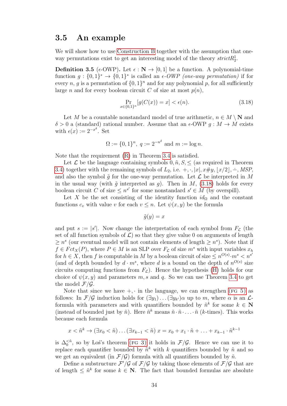## <span id="page-37-0"></span>3.5 An example

We will show how to use [Construction B](#page-31-0) together with the assumption that oneway permutations exist to get an interesting model of the theory  $strictR_2^1$ .

<span id="page-37-2"></span>**Definition 3.5** ( $\epsilon$ -OWP). Let  $\epsilon$ :  $N \rightarrow [0, 1]$  be a function. A polynomial-time function  $g: \{0,1\}^* \to \{0,1\}^*$  is called an  $\epsilon$ -*OWP* (one-way permutation) if for every n, g is a permutation of  $\{0,1\}^n$  and for any polynomial p, for all sufficiently large n and for every boolean circuit C of size at most  $p(n)$ ,

<span id="page-37-1"></span>
$$
\Pr_{x \in \{0,1\}^n} [g(C(x)) = x] < \epsilon(n). \tag{3.18}
$$

Let M be a countable nonstandard model of true arithmetic,  $n \in M \setminus N$  and  $\delta > 0$  a (standard) rational number. Assume that an  $\epsilon$ -OWP  $q : M \to M$  exists with  $\epsilon(x) := 2^{-x^{\delta}}$ . Set

$$
\Omega := \{0, 1\}^n, \ q := 2^{-n^{\delta}} \text{ and } m := \log n.
$$

Note that the requirement [\(R\)](#page-32-2) in Theorem [3.4](#page-32-0) is satisfied.

Let  $\mathcal L$  be the language containing symbols  $0, \tilde{n}, S \leq$  (as required in Theorem [3.4\)](#page-32-0) together with the remaining symbols of  $L_2$ , i.e. +, ·, |x|,  $x \# y$ ,  $\lfloor x/2 \rfloor$ ,  $\div$ , MSP, and also the symbol  $\tilde{g}$  for the one-way permutation. Let  $\mathcal L$  be interpreted in M in the usual way (with  $\tilde{q}$  interpreted as q). Then in M, [\(3.18\)](#page-37-1) holds for every boolean circuit C of size  $\leq n^{s'}$  for some nonstandard  $s' \in M$  (by overspill).

Let X be the set consisting of the identity function  $id_{\Omega}$  and the constant functions  $c_v$  with value v for each  $v \leq n$ . Let  $\psi(x, y)$  be the formula

$$
\tilde{g}(y) = x
$$

and put  $s := |s'|$ . Now change the interpretation of each symbol from  $F_{\mathcal{L}}$  (the set of all function symbols of  $\mathcal{L}$ ) so that they give value 0 on arguments of length  $\geq n^s$  (our eventual model will not contain elements of length  $\geq n^s$ ). Note that if  $f \in Fct_X(P)$ , where  $P \in M$  is an SLP over  $F_{\mathcal{L}}$  of size  $m^s$  with input variables  $x_h$ for  $h \in X$ , then f is computable in M by a boolean circuit of size  $\leq n^{O(s)} \cdot m^s < n^{s'}$ (and of depth bounded by  $d \cdot m^s$ , where d is a bound on the depth of  $n^{O(s)}$  size circuits computing functions from  $F_{\mathcal{L}}$ ). Hence the hypothesis [\(H\)](#page-32-1) holds for our choice of  $\psi(x, y)$  and parameters m, s and q. So we can use Theorem [3.4](#page-32-0) to get the model  $\mathcal{F}/\mathcal{G}$ .

Note that since we have  $+$ ,  $\cdot$  in the language, we can strengthen (FG 5) as follows: In  $\mathcal{F}/\mathcal{G}$  induction holds for  $(\exists y_1) \dots (\exists y_{k'}) \alpha$  up to m, where  $\alpha$  is an  $\mathcal{L}$ formula with parameters and with quantifiers bounded by  $\tilde{n}^k$  for some  $k \in \mathbb{N}$ (instead of bounded just by  $\tilde{n}$ ). Here  $\tilde{n}^k$  means  $\tilde{n} \cdot \tilde{n} \cdot \ldots \cdot \tilde{n}$  (*k*-times). This works because each formula

$$
x < \tilde{n}^k \to (\exists x_0 < \tilde{n}) \dots (\exists x_{k-1} < \tilde{n}) \ x = x_0 + x_1 \cdot \tilde{n} + \dots + x_{k-1} \cdot \tilde{n}^{k-1}
$$

is  $\Delta_0^{<\tilde{n}}$ , so by Los's theorem (FG 3) it holds in  $\mathcal{F}/\mathcal{G}$ . Hence we can use it to replace each quantifier bounded by  $\tilde{n}^k$  with k quantifiers bounded by  $\tilde{n}$  and so we get an equivalent (in  $\mathcal{F}/\mathcal{G}$ ) formula with all quantifiers bounded by  $\tilde{n}$ .

Define a substructure  $\mathcal{F}'/\mathcal{G}$  of  $\mathcal{F}/\mathcal{G}$  by taking those elements of  $\mathcal{F}/\mathcal{G}$  that are of length  $\leq \tilde{n}^k$  for some  $k \in \mathbb{N}$ . The fact that bounded formulas are absolute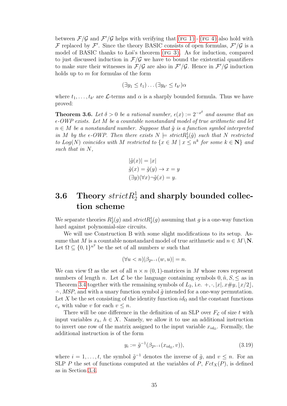between  $\mathcal{F}/\mathcal{G}$  and  $\mathcal{F}'/\mathcal{G}$  helps with verifying that (FG 1) - (FG 4) also hold with F replaced by F'. Since the theory BASIC consists of open formulas,  $\mathcal{F}'/\mathcal{G}$  is a model of BASIC thanks to Los's theorem (FG 3). As for induction, compared to just discussed induction in  $\mathcal{F}/\mathcal{G}$  we have to bound the existential quantifiers to make sure their witnesses in  $\mathcal{F}/\mathcal{G}$  are also in  $\mathcal{F}'/\mathcal{G}$ . Hence in  $\mathcal{F}'/\mathcal{G}$  induction holds up to  $m$  for formulas of the form

$$
(\exists y_1 \le t_1) \dots (\exists y_{k'} \le t_{k'}) \alpha
$$

where  $t_1, \ldots, t_{k'}$  are  $\mathcal{L}$ -terms and  $\alpha$  is a sharply bounded formula. Thus we have proved:

<span id="page-38-1"></span>**Theorem 3.6.** Let  $\delta > 0$  be a rational number,  $\epsilon(x) := 2^{-x^{\delta}}$  and assume that an  $\epsilon$ -OWP exists. Let M be a countable nonstandard model of true arithmetic and let  $n \in M$  be a nonstandard number. Suppose that  $\tilde{q}$  is a function symbol interpreted in M by the  $\epsilon$ -OWP. Then there exists  $N \models strictR_2^1(\tilde{g})$  such that N restricted to Log(N) coincides with M restricted to  $\{x \in M \mid x \leq n^k \text{ for some } k \in \mathbb{N}\}\$ and such that in N,

$$
|\tilde{g}(x)| = |x|
$$
  

$$
\tilde{g}(x) = \tilde{g}(y) \to x = y
$$
  

$$
(\exists y)(\forall x)\neg\tilde{g}(x) = y.
$$

## <span id="page-38-0"></span> $3.6$  Theory  $strictR^1_2$  and sharply bounded collection scheme

We separate theories  $R_2^1(g)$  and  $strictR_2^1(g)$  assuming that g is a one-way function hard against polynomial-size circuits.

We will use Construction B with some slight modifications to its setup. Assume that M is a countable nonstandard model of true arithmetic and  $n \in M \backslash N$ . Let  $\Omega \subseteq \{0,1\}^{n^2}$  be the set of all numbers w such that

$$
(\forall u < n) |\beta_{2^{n-1}}(w, u)| = n.
$$

We can view  $\Omega$  as the set of all  $n \times n$  (0, 1)-matrices in M whose rows represent numbers of length n. Let  $\mathcal L$  be the language containing symbols  $0, \tilde{n}, S \leq \text{as in}$ Theorem [3.4](#page-32-0) together with the remaining symbols of  $L_2$ , i.e.  $+$ ,  $\cdot$ ,  $|x|$ ,  $x \#y$ ,  $|x/2|$ ,  $\div$ , MSP, and with a unary function symbol  $\tilde{g}$  intended for a one-way permutation. Let X be the set consisting of the identity function  $id_{\Omega}$  and the constant functions  $c_v$  with value v for each  $v \leq n$ .

There will be one difference in the definition of an SLP over  $F_{\mathcal{L}}$  of size t with input variables  $x_h$ ,  $h \in X$ . Namely, we allow it to use an additional instruction to invert one row of the matrix assigned to the input variable  $x_{id_{\Omega}}$ . Formally, the additional instruction is of the form

<span id="page-38-2"></span>
$$
y_i := \tilde{g}^{-1}(\beta_{2^{n-1}}(x_{id_{\Omega}}, v)), \tag{3.19}
$$

where  $i = 1, \ldots, t$ , the symbol  $\tilde{g}^{-1}$  denotes the inverse of  $\tilde{g}$ , and  $v \leq n$ . For an SLP P the set of functions computed at the variables of P,  $Fct_X(P)$ , is defined as in Section [3.4.](#page-31-0)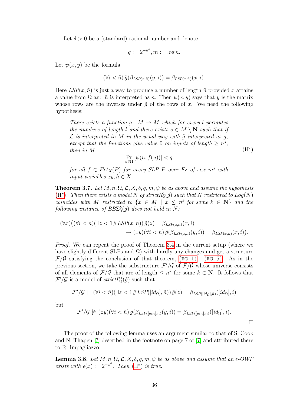Let  $\delta > 0$  be a (standard) rational number and denote

$$
q := 2^{-n^{\delta}}, m := \log n.
$$

Let  $\psi(x, y)$  be the formula

$$
(\forall i < \tilde{n}) \tilde{g}(\beta_{LSP(x,\tilde{n})}(y,i)) = \beta_{LSP(x,\tilde{n})}(x,i).
$$

Here  $LSP(x, \tilde{n})$  is just a way to produce a number of length  $\tilde{n}$  provided x attains a value from  $\Omega$  and  $\tilde{n}$  is interpreted as n. Then  $\psi(x, y)$  says that y is the matrix whose rows are the inverses under  $\tilde{q}$  of the rows of x. We need the following hypothesis:

There exists a function  $g : M \to M$  which for every l permutes the numbers of length l and there exists  $s \in M \setminus N$  such that if  $\mathcal L$  is interpreted in M in the usual way with  $\tilde g$  interpreted as q, except that the functions give value 0 on inputs of length  $\geq n^{s}$ , then in M,  $(H^{\star})$ 

<span id="page-39-0"></span>
$$
\Pr_{u \in \Omega} \left[ \psi(u, f(u)) \right] < q
$$

<span id="page-39-1"></span>for all  $f \in Fct_X(P)$  for every SLP P over  $F_L$  of size  $m^s$  with input variables  $x_h, h \in X$ .

<span id="page-39-2"></span>**Theorem 3.7.** Let  $M, n, \Omega, \mathcal{L}, X, \delta, q, m, \psi$  be as above and assume the hypothesis [\(H](#page-39-0)<sup>\*</sup>). Then there exists a model N of strict  $R_2^1(\tilde{g})$  such that N restricted to  $Log(N)$ coincides with M restricted to  $\{x \in M \mid x \leq n^k \text{ for some } k \in \mathbb{N}\}\$  and the  $\textit{following instance of } B\! \Sigma^b_0(\tilde{g}) \textit{ does not hold in } N\!$ 

$$
(\forall x) ((\forall i < n)(\exists z < 1 \# LSP(x, n)) \tilde{g}(z) = \beta_{LSP(x, n)}(x, i)
$$

$$
\rightarrow (\exists y)(\forall i < n) \tilde{g}(\beta_{LSP(x, n)}(y, i)) = \beta_{LSP(x, n)}(x, i)).
$$

Proof. We can repeat the proof of Theorem [3.4](#page-32-0) in the current setup (where we have slightly different SLPs and  $\Omega$ ) with hardly any changes and get a structure  $\mathcal{F}/\mathcal{G}$  satisfying the conclusion of that theorem, (FG 1) - (FG 5). As in the previous section, we take the substructure  $\mathcal{F}'/\mathcal{G}$  of  $\mathcal{F}/\mathcal{G}$  whose universe consists of all elements of  $\mathcal{F}/\mathcal{G}$  that are of length  $\leq \tilde{n}^k$  for some  $k \in \mathbb{N}$ . It follows that  $\mathcal{F}'/\mathcal{G}$  is a model of  $strictR_2^1(\tilde{g})$  such that

$$
\mathcal{F}'/\mathcal{G} \models (\forall i < \tilde{n}) (\exists z < 1 \# LSP([id_{\Omega}], \tilde{n})) \tilde{g}(z) = \beta_{LSP([id_{\Omega}], \tilde{n})}([id_{\Omega}], i)
$$

but

$$
\mathcal{F}'/\mathcal{G} \not\models (\exists y)(\forall i < \tilde{n}) \tilde{g}(\beta_{LSP([id_{\Omega}],\tilde{n})}(y,i)) = \beta_{LSP([id_{\Omega}],\tilde{n})}([id_{\Omega}],i).
$$

The proof of the following lemma uses an argument similar to that of S. Cook and N. Thapen [\[7\]](#page-41-13) described in the footnote on page 7 of [\[7\]](#page-41-13) and attributed there to R. Impagliazzo.

<span id="page-39-3"></span>**Lemma 3.8.** Let  $M, n, \Omega, \mathcal{L}, X, \delta, q, m, \psi$  be as above and assume that an  $\epsilon$ -OWP exists with  $\epsilon(x) := 2^{-x^{\delta}}$ . Then  $(H^{\star})$  $(H^{\star})$  is true.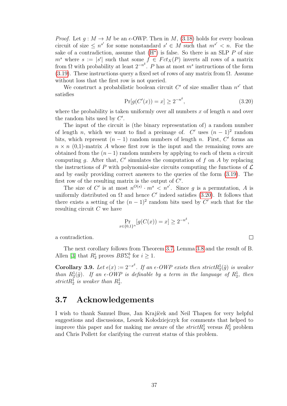*Proof.* Let  $q : M \to M$  be an  $\epsilon$ -OWP. Then in M, [\(3.18\)](#page-37-1) holds for every boolean circuit of size  $\leq n^{s'}$  for some nonstandard  $s' \in M$  such that  $m^{s'} < n$ . For the sake of a contradiction, assume that  $(H^*)$  is false. So there is an SLP P of size  $m<sup>s</sup>$  where  $s := |s'|$  such that some  $f \in Fct_X(P)$  inverts all rows of a matrix from  $\Omega$  with probability at least  $2^{-n^{\delta}}$ . P has at most  $m^s$  instructions of the form [\(3.19\)](#page-38-2). These instructions query a fixed set of rows of any matrix from  $\Omega$ . Assume without loss that the first row is not queried.

We construct a probabilistic boolean circuit  $C'$  of size smaller than  $n^{s'}$  that satisfies

$$
\Pr[g(C'(x)) = x] \ge 2^{-n^{\delta}},\tag{3.20}
$$

 $\Box$ 

where the probability is taken uniformly over all numbers x of length  $n$  and over the random bits used by  $C'$ .

The input of the circuit is (the binary representation of) a random number of length n, which we want to find a preimage of. C' uses  $(n-1)^2$  random bits, which represent  $(n-1)$  random numbers of length n. First, C' forms an  $n \times n$  (0,1)-matrix A whose first row is the input and the remaining rows are obtained from the  $(n-1)$  random numbers by applying to each of them a circuit computing  $g$ . After that,  $C'$  simulates the computation of  $f$  on  $A$  by replacing the instructions of P with polynomial-size circuits computing the functions of  $\mathcal L$ and by easily providing correct answers to the queries of the form [\(3.19\)](#page-38-2). The first row of the resulting matrix is the output of  $C'$ .

The size of C' is at most  $n^{O(s)} \cdot m^s < n^{s'}$ . Since g is a permutation, A is uniformly distributed on  $\Omega$  and hence C' indeed satisfies [\(3.20\)](#page-39-1). It follows that there exists a setting of the  $(n-1)^2$  random bits used by C' such that for the resulting circuit C we have

$$
\Pr_{x \in \{0,1\}^n}[g(C(x)) = x] \ge 2^{-n^{\delta}},
$$

a contradiction.

The next corollary follows from Theorem [3.7,](#page-39-2) Lemma [3.8](#page-39-3) and the result of B. Allen [\[3\]](#page-41-8) that  $R_2^i$  proves  $BB\Sigma_i^b$  for  $i \geq 1$ .

<span id="page-40-1"></span>Corollary 3.9. Let  $\epsilon(x) := 2^{-x^{\delta}}$ . If an  $\epsilon$ -OWP exists then strict  $R_2^1(\tilde{g})$  is weaker than  $R_2^1(\tilde{g})$ . If an  $\epsilon$ -OWP is definable by a term in the language of  $R_2^1$ , then strict $R_2^1$  is weaker than  $R_2^1$ .

## <span id="page-40-0"></span>3.7 Acknowledgements

I wish to thank Samuel Buss, Jan Krajíček and Neil Thapen for very helpful suggestions and discussions, Leszek Kołodziejczyk for comments that helped to improve this paper and for making me aware of the  $strictR_2^1$  versus  $R_2^1$  problem and Chris Pollett for clarifying the current status of this problem.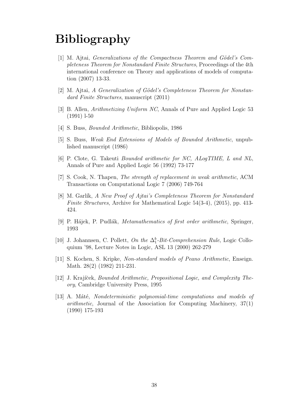# <span id="page-41-0"></span>Bibliography

- <span id="page-41-1"></span>[1] M. Ajtai, *Generalizations of the Compactness Theorem and Gödel's Com*pleteness Theorem for Nonstandard Finite Structures, Proceedings of the 4th international conference on Theory and applications of models of computation (2007) 13-33.
- <span id="page-41-2"></span>[2] M. Ajtai, A Generalization of Gödel's Completeness Theorem for Nonstandard Finite Structures, manuscript (2011)
- <span id="page-41-8"></span>[3] B. Allen, Arithmetizing Uniform NC, Annals of Pure and Applied Logic 53 (1991) l-50
- <span id="page-41-9"></span>[4] S. Buss, Bounded Arithmetic, Bibliopolis, 1986
- <span id="page-41-7"></span>[5] S. Buss, Weak End Extensions of Models of Bounded Arithmetic, unpublished manuscript (1986)
- <span id="page-41-11"></span>[6] P. Clote, G. Takeuti Bounded arithmetic for NC, ALogTIME, L and NL, Annals of Pure and Applied Logic 56 (1992) 73-177
- <span id="page-41-13"></span>[7] S. Cook, N. Thapen, The strength of replacement in weak arithmetic, ACM Transactions on Computational Logic 7 (2006) 749-764
- <span id="page-41-3"></span>[8] M. Garlík, A New Proof of Ajtai's Completeness Theorem for Nonstandard Finite Structures, Archive for Mathematical Logic 54(3-4), (2015), pp. 413- 424.
- <span id="page-41-12"></span>[9] P. Hájek, P. Pudlák, *Metamathematics of first order arithmetic*, Springer, 1993
- <span id="page-41-10"></span>[10] J. Johannsen, C. Pollett, On the  $\Delta_1^b$ -Bit-Comprehension Rule, Logic Colloquium '98, Lecture Notes in Logic, ASL 13 (2000) 262-279
- <span id="page-41-6"></span>[11] S. Kochen, S. Kripke, Non-standard models of Peano Arithmetic, Enseign. Math. 28(2) (1982) 211-231.
- <span id="page-41-4"></span>[12] J. Krajíček, *Bounded Arithmetic, Propositional Logic, and Complexity The*ory, Cambridge University Press, 1995
- <span id="page-41-5"></span>[13] A. Máté, Nondeterministic polynomial-time computations and models of arithmetic, Journal of the Association for Computing Machinery, 37(1) (1990) 175-193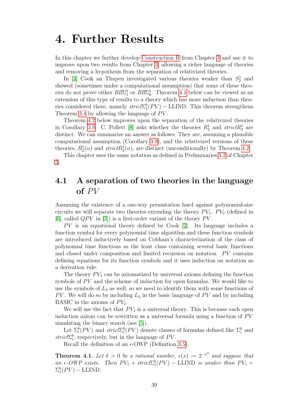## <span id="page-42-0"></span>4. Further Results

In this chapter we further develop [Construction B](#page-31-0) from Chapter [3](#page-19-0) and use it to improve upon two results from Chapter [3,](#page-19-0) allowing a richer langauge of theories and removing a hypothesis from the separation of relativized theories.

In [\[4\]](#page-45-1) Cook an Thapen investigated various theories weaker than  $S_2^1$  and showed (sometimes under a computational assumption) that some of these theories do not prove either  $BB\Sigma_1^b$  or  $BB\Sigma_0^b$ . Theorem [4.1](#page-42-2) below can be viewed as an extension of this type of results to a theory which has more induction than theories considered there, namely  $strict \Sigma_1^b(PV) - LLIND$ . This theorem strengthens Theorem [3.4](#page-32-0) by allowing the language of  $PV$ .

Theorem [4.2](#page-43-1) below improves upon the separation of the relativized theories in Corollary [3.9.](#page-40-1) C. Pollett [\[8\]](#page-45-2) asks whether the theories  $R_2^1$  and  $strictR_2^1$  are distinct. We can summarize an answer as follows: They are, assuming a plausible computational assumption (Corollary [3.9\)](#page-40-1), and the relativized versions of these theories,  $R_2^1(\alpha)$  and  $strictR_2^1(\alpha)$ , are distinct (unconditionally) by Theorem [4.2.](#page-43-1)

This chapter uses the same notation as defined in Preliminaries [3.2](#page-21-0) of Chapter [3.](#page-19-0)

## <span id="page-42-1"></span>4.1 A separation of two theories in the language  $of PV$

Assuming the existence of a one-way permutation hard against polynomial-size circuits we will separate two theories extending the theory  $PV_1$ .  $PV_1$  (defined in [\[6\]](#page-45-3), called  $QPV$  in [\[3\]](#page-45-4)) is a first-order variant of the theory  $PV$ .

 $PV$  is an equational theory defined by Cook [\[2\]](#page-45-5). Its language includes a function symbol for every polynomial time algorithm and these function symbols are introduced inductively based on Cobham's characterization of the class of polynomial time functions as the least class containing several basic functions and closed under composition and limited recursion on notation.  $PV$  contains defining equations for its function symbols and it uses induction on notation as a derivation rule.

The theory  $PV_1$  can be axiomatized by universal axioms defining the function symbols of  $PV$  and the scheme of induction for open formulas. We would like to use the symbols of  $L_2$  as well, so we need to identify them with some functions of  $PV$ . We will do so by including  $L_2$  in the basic language of  $PV$  and by including BASIC in the axioms of  $PV_1$ .

We will use the fact that  $PV_1$  is a universal theory. This is because each open induction axiom can be rewritten as a universal formula using a function of  $PV$ simulating the binary search (see [\[5\]](#page-45-6)).

Let  $\Sigma_i^b(PV)$  and  $strict\Sigma_i^b(PV)$  denote classes of formulas defined like  $\Sigma_i^b$  and  $strict\sum_{i}^{b}$ , respectively, but in the language of PV.

Recall the definition of an  $\epsilon$ -OWP (Definition [3.5\)](#page-37-2).

<span id="page-42-2"></span>**Theorem 4.1.** Let  $\delta > 0$  be a rational number,  $\epsilon(x) := 2^{-x^{\delta}}$  and suppose that an  $\epsilon$ -OWP exists. Then  $PV_1 + \text{strict} \Sigma_1^b(PV)$  – LLIND is weaker than  $PV_1$  +  $\Sigma_1^b(PV)$  – LLIND.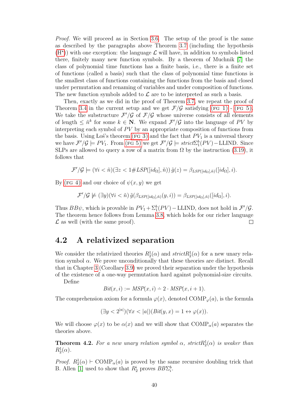*Proof.* We will proceed as in Section [3.6.](#page-38-0) The setup of the proof is the same as described by the paragraphs above Theorem [3.7](#page-39-2) (including the hypothesis  $(H^{\star})$  $(H^{\star})$ ) with one exception: the language  $\mathcal L$  will have, in addition to symbols listed there, finitely many new function symbols. By a theorem of Muchnik [\[7\]](#page-45-7) the class of polynomial time functions has a finite basis, i.e., there is a finite set of functions (called a basis) such that the class of polynomial time functions is the smallest class of functions containing the functions from the basis and closed under permutation and renaming of variables and under composition of functions. The new function symbols added to  $\mathcal L$  are to be interpreted as such a basis.

Then, exactly as we did in the proof of Theorem [3.7,](#page-39-2) we repeat the proof of Theorem [3.4](#page-32-0) in the current setup and we get  $\mathcal{F}/\mathcal{G}$  satisfying (FG 1) - (FG 5). We take the substructure  $\mathcal{F}'/\mathcal{G}$  of  $\mathcal{F}/\mathcal{G}$  whose universe consists of all elements of length  $\leq \tilde{n}^k$  for some  $k \in \mathbb{N}$ . We expand  $\mathcal{F}'/\mathcal{G}$  into the language of PV by interpreting each symbol of  $PV$  by an appropriate composition of functions from the basis. Using Los's theorem (FG 3) and the fact that  $PV_1$  is a universal theory we have  $\mathcal{F}'/\mathcal{G} \models PV_1$ . From (FG 5) we get  $\mathcal{F}'/\mathcal{G} \models strict \Sigma_1^b(PV) - LLIND$ . Since SLPs are allowed to query a row of a matrix from  $\Omega$  by the instruction [\(3.19\)](#page-38-2), it follows that

$$
\mathcal{F}'/\mathcal{G} \models (\forall i < \tilde{n}) (\exists z < 1 \# LSP([id_{\Omega}], \tilde{n})) \tilde{g}(z) = \beta_{LSP([id_{\Omega}], \tilde{n})}([id_{\Omega}], i).
$$

By (FG 4) and our choice of  $\psi(x, y)$  we get

$$
\mathcal{F}'/\mathcal{G} \not\models (\exists y)(\forall i < \tilde{n}) \tilde{g}(\beta_{LSP([id_{\Omega}],\tilde{n})}(y,i)) = \beta_{LSP([id_{\Omega}],\tilde{n})}([id_{\Omega}],i).
$$

Thus  $BB\psi$ , which is provable in  $PV_1 + \sum_{1}^{b} (PV) - LLIND$ , does not hold in  $\mathcal{F}'/\mathcal{G}$ . The theorem hence follows from Lemma [3.8,](#page-39-3) which holds for our richer language  $\mathcal L$  as well (with the same proof).  $\Box$ 

### <span id="page-43-0"></span>4.2 A relativized separation

We consider the relativized theories  $R_2^1(\alpha)$  and  $strictR_2^1(\alpha)$  for a new unary relation symbol  $\alpha$ . We prove unconditionally that these theories are distinct. Recall that in Chapter [3](#page-19-0) (Corollary [3.9\)](#page-40-1) we proved their separation under the hypothesis of the existence of a one-way permutation hard against polynomial-size circuits.

Define

$$
Bit(x, i) := MSP(x, i) - 2 \cdot MSP(x, i + 1).
$$

The comprehension axiom for a formula  $\varphi(x)$ , denoted COMP<sub> $\varphi$ </sub>(*a*), is the formula

$$
(\exists y < 2^{|a|}) (\forall x < |a|) (Bit(y, x) = 1 \leftrightarrow \varphi(x)).
$$

We will choose  $\varphi(x)$  to be  $\alpha(x)$  and we will show that  $\text{COMP}_{\alpha}(a)$  separates the theories above.

<span id="page-43-1"></span>**Theorem 4.2.** For a new unary relation symbol  $\alpha$ , strict $R_2^1(\alpha)$  is weaker than  $R_2^1(\alpha)$ .

*Proof.*  $R_2^1(\alpha)$   $\vdash$  COMP<sub> $\alpha$ </sub>(*a*) is proved by the same recursive doubling trick that B. Allen [\[1\]](#page-45-8) used to show that  $R_2^i$  proves  $BB\Sigma_i^b$ .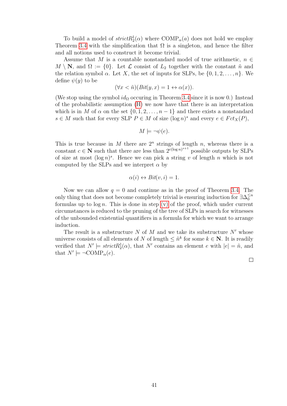To build a model of  $strictR_2^1(\alpha)$  where  $COMP_{\alpha}(a)$  does not hold we employ Theorem [3.4](#page-32-0) with the simplification that  $\Omega$  is a singleton, and hence the filter and all notions used to construct it become trivial.

Assume that M is a countable nonstandard model of true arithmetic,  $n \in$  $M \setminus N$ , and  $\Omega := \{0\}$ . Let  $\mathcal L$  consist of  $L_2$  together with the constant  $\tilde n$  and the relation symbol  $\alpha$ . Let X, the set of inputs for SLPs, be  $\{0, 1, 2, \ldots, n\}$ . We define  $\psi(y)$  to be

$$
(\forall x < \tilde{n}) (Bit(y, x) = 1 \leftrightarrow \alpha(x)).
$$

(We stop using the symbol  $id_{\Omega}$  occuring in Theorem [3.4](#page-32-0) since it is now 0.) Instead of the probabilistic assumption [\(H\)](#page-32-1) we now have that there is an interpretation which is in M of  $\alpha$  on the set  $\{0, 1, 2, \ldots, n-1\}$  and there exists a nonstandard  $s \in M$  such that for every SLP  $P \in M$  of size  $(\log n)^s$  and every  $e \in Fct_X(P)$ ,

$$
M \models \neg \psi(e).
$$

This is true because in M there are  $2<sup>n</sup>$  strings of length n, whereas there is a constant  $c \in \mathbb{N}$  such that there are less than  $2^{c(\log n)^{s+1}}$  possible outputs by SLPs of size at most  $(\log n)^s$ . Hence we can pick a string v of length n which is not computed by the SLPs and we interpret  $\alpha$  by

$$
\alpha(i) \leftrightarrow \text{Bit}(v, i) = 1.
$$

Now we can allow  $q = 0$  and continue as in the proof of Theorem [3.4.](#page-32-0) The only thing that does not become completely trivial is ensuring induction for  $\exists \Delta_0^{\leq n}$  $\theta$ formulas up to  $\log n$ . This is done in step [\(v\)](#page-34-0) of the proof, which under current circumstances is reduced to the pruning of the tree of SLPs in search for witnesses of the unbounded existential quantifiers in a formula for which we want to arrange induction.

The result is a substructure N of M and we take its substructure  $N'$  whose universe consists of all elements of N of length  $\leq \tilde{n}^k$  for some  $k \in \mathbb{N}$ . It is readily verified that  $N' \models strictR_2^1(\alpha)$ , that N' contains an element e with  $|e| = \tilde{n}$ , and that  $N' \models \neg COMP_{\alpha}(e)$ .

 $\Box$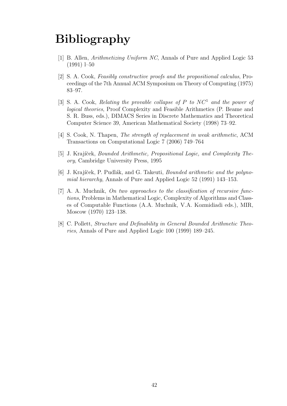# <span id="page-45-0"></span>Bibliography

- <span id="page-45-8"></span>[1] B. Allen, Arithmetizing Uniform NC, Annals of Pure and Applied Logic 53 (1991) l–50
- <span id="page-45-5"></span>[2] S. A. Cook, Feasibly constructive proofs and the propositional calculus, Proceedings of the 7th Annual ACM Symposium on Theory of Computing (1975) 83–97.
- <span id="page-45-4"></span>[3] S. A. Cook, Relating the provable collapse of P to  $NC<sup>1</sup>$  and the power of logical theories, Proof Complexity and Feasible Arithmetics (P. Beame and S. R. Buss, eds.), DIMACS Series in Discrete Mathematics and Theoretical Computer Science 39, American Mathematical Society (1998) 73–92.
- <span id="page-45-1"></span>[4] S. Cook, N. Thapen, The strength of replacement in weak arithmetic, ACM Transactions on Computational Logic 7 (2006) 749–764
- <span id="page-45-6"></span>[5] J. Krajíček, *Bounded Arithmetic, Propositional Logic, and Complexity The*ory, Cambridge University Press, 1995
- <span id="page-45-3"></span>[6] J. Krajíček, P. Pudlák, and G. Takeuti, *Bounded arithmetic and the polyno*mial hierarchy, Annals of Pure and Applied Logic 52 (1991) 143–153.
- <span id="page-45-7"></span>[7] A. A. Muchnik, On two approaches to the classification of recursive functions, Problems in Mathematical Logic, Complexity of Algorithms and Classes of Computable Functions (A.A. Muchnik, V.A. Kozmidiadi eds.), MIR, Moscow (1970) 123–138.
- <span id="page-45-2"></span>[8] C. Pollett, Structure and Definability in General Bounded Arithmetic Theories, Annals of Pure and Applied Logic 100 (1999) 189–245.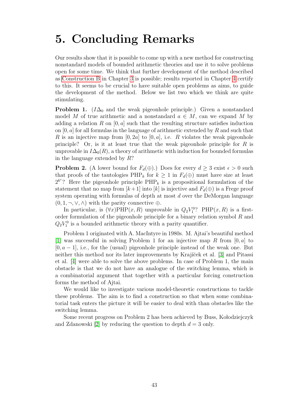# <span id="page-46-0"></span>5. Concluding Remarks

Our results show that it is possible to come up with a new method for constructing nonstandard models of bounded arithmetic theories and use it to solve problems open for some time. We think that further development of the method described as [Construction B](#page-31-0) in Chapter [3](#page-19-0) is possible; results reported in Chapter [4](#page-42-0) certify to this. It seems to be crucial to have suitable open problems as aims, to guide the development of the method. Below we list two which we think are quite stimulating.

**Problem 1.** ( $I\Delta_0$  and the weak pigeonhole principle.) Given a nonstandard model M of true arithmetic and a nonstandard  $a \in M$ , can we expand M by adding a relation R on  $[0, a]$  such that the resulting structure satisfies induction on  $[0, a]$  for all formulas in the language of arithmetic extended by R and such that R is an injective map from  $[0, 2a]$  to  $[0, a]$ , i.e. R violates the weak pigeonhole principle? Or, is it at least true that the weak pigeonhole principle for  $R$  is unprovable in  $I\Delta_0(R)$ , a theory of arithmetic with induction for bounded formulas in the language extended by R?

**Problem 2.** (A lower bound for  $F_d(\oplus)$ .) Does for every  $d \geq 3$  exist  $\epsilon > 0$  such that proofs of the tautologies  $\text{PHP}_k$  for  $k \geq 1$  in  $F_d(\oplus)$  must have size at least  $2^{k^{\epsilon}}$ ? Here the pigeonhole principle PHP<sub>k</sub> is a propositional formulation of the statement that no map from  $[k+1]$  into  $[k]$  is injective and  $F_d(\oplus)$  is a Frege proof system operating with formulas of depth at most d over the DeMorgan language  $(0, 1, \neg, \vee, \wedge)$  with the parity connective  $\oplus$ .

In particular, is  $(\forall x)$ PHP $(x, R)$  unprovable in  $Q_2V_1^0$ ? PHP $(x, R)$  is a firstorder formulation of the pigeonhole principle for a binary relation symbol R and  $Q_2V_1^0$  is a bounded arithmetic theory with a parity quantifier.

Problem 1 originated with A. MacIntyre in 1980s. M. Ajtai's beautiful method [\[1\]](#page-47-1) was successful in solving Problem 1 for an injective map R from  $[0, a]$  to  $[0, a - 1]$ , i.e., for the (usual) pigeonhole principle instead of the weak one. But neither this method nor its later improvements by Krajíček et al. [\[3\]](#page-47-2) and Pitassi et al. [\[4\]](#page-47-3) were able to solve the above problems. In case of Problem 1, the main obstacle is that we do not have an analogue of the switching lemma, which is a combinatorial argument that together with a particular forcing construction forms the method of Ajtai.

We would like to investigate various model-theoretic constructions to tackle these problems. The aim is to find a construction so that when some combinatorial task enters the picture it will be easier to deal with than obstacles like the switching lemma.

Some recent progress on Problem 2 has been achieved by Buss, Kołodziejczyk and Zdanowski [\[2\]](#page-47-4) by reducing the question to depth  $d = 3$  only.